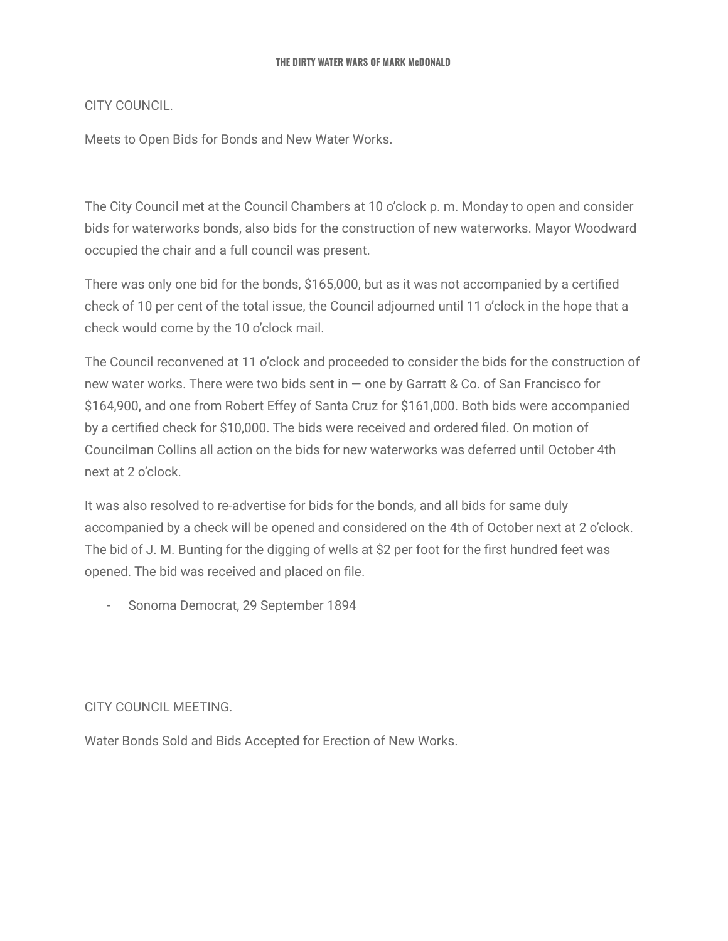CITY COUNCIL.

Meets to Open Bids for Bonds and New Water Works.

The City Council met at the Council Chambers at 10 o'clock p. m. Monday to open and consider bids for waterworks bonds, also bids for the construction of new waterworks. Mayor Woodward occupied the chair and a full council was present.

There was only one bid for the bonds, \$165,000, but as it was not accompanied by a certified check of 10 per cent of the total issue, the Council adjourned until 11 o'clock in the hope that a check would come by the 10 o'clock mail.

The Council reconvened at 11 o'clock and proceeded to consider the bids for the construction of new water works. There were two bids sent in — one by Garratt & Co. of San Francisco for \$164,900, and one from Robert Effey of Santa Cruz for \$161,000. Both bids were accompanied by a certified check for \$10,000. The bids were received and ordered filed. On motion of Councilman Collins all action on the bids for new waterworks was deferred until October 4th next at 2 o'clock.

It was also resolved to re-advertise for bids for the bonds, and all bids for same duly accompanied by a check will be opened and considered on the 4th of October next at 2 o'clock. The bid of J. M. Bunting for the digging of wells at \$2 per foot for the first hundred feet was opened. The bid was received and placed on file.

- Sonoma Democrat, 29 September 1894

### CITY COUNCIL MEETING.

Water Bonds Sold and Bids Accepted for Erection of New Works.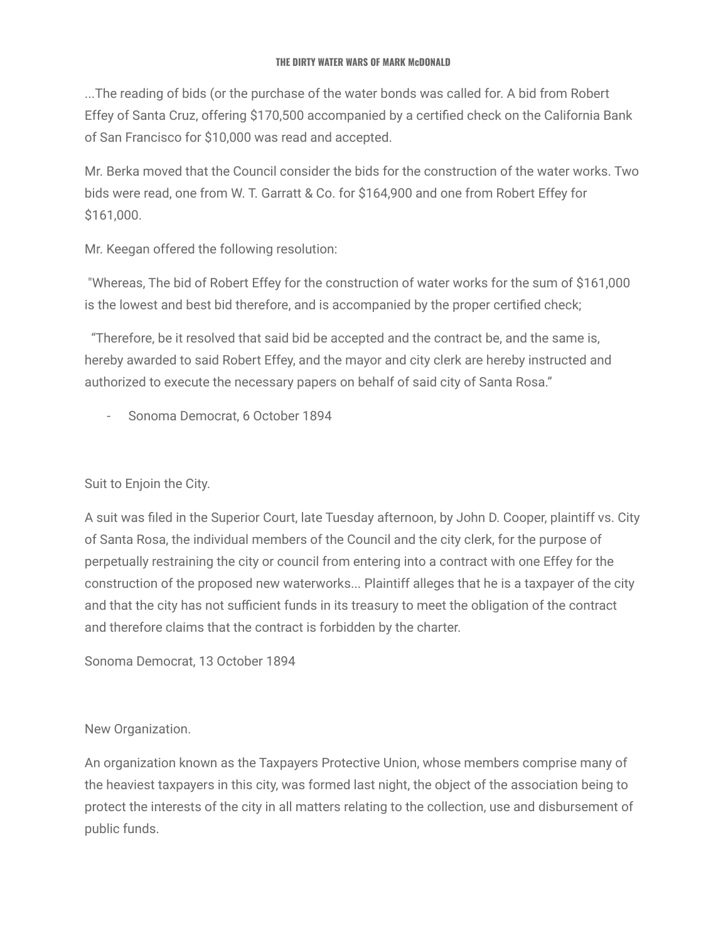...The reading of bids (or the purchase of the water bonds was called for. A bid from Robert Effey of Santa Cruz, offering \$170,500 accompanied by a certified check on the California Bank of San Francisco for \$10,000 was read and accepted.

Mr. Berka moved that the Council consider the bids for the construction of the water works. Two bids were read, one from W. T. Garratt & Co. for \$164,900 and one from Robert Effey for \$161,000.

Mr. Keegan offered the following resolution:

"Whereas, The bid of Robert Effey for the construction of water works for the sum of \$161,000 is the lowest and best bid therefore, and is accompanied by the proper certified check;

"Therefore, be it resolved that said bid be accepted and the contract be, and the same is, hereby awarded to said Robert Effey, and the mayor and city clerk are hereby instructed and authorized to execute the necessary papers on behalf of said city of Santa Rosa."

- Sonoma Democrat, 6 October 1894

Suit to Enjoin the City.

A suit was filed in the Superior Court, late Tuesday afternoon, by John D. Cooper, plaintiff vs. City of Santa Rosa, the individual members of the Council and the city clerk, for the purpose of perpetually restraining the city or council from entering into a contract with one Effey for the construction of the proposed new waterworks... Plaintiff alleges that he is a taxpayer of the city and that the city has not sufficient funds in its treasury to meet the obligation of the contract and therefore claims that the contract is forbidden by the charter.

Sonoma Democrat, 13 October 1894

New Organization.

An organization known as the Taxpayers Protective Union, whose members comprise many of the heaviest taxpayers in this city, was formed last night, the object of the association being to protect the interests of the city in all matters relating to the collection, use and disbursement of public funds.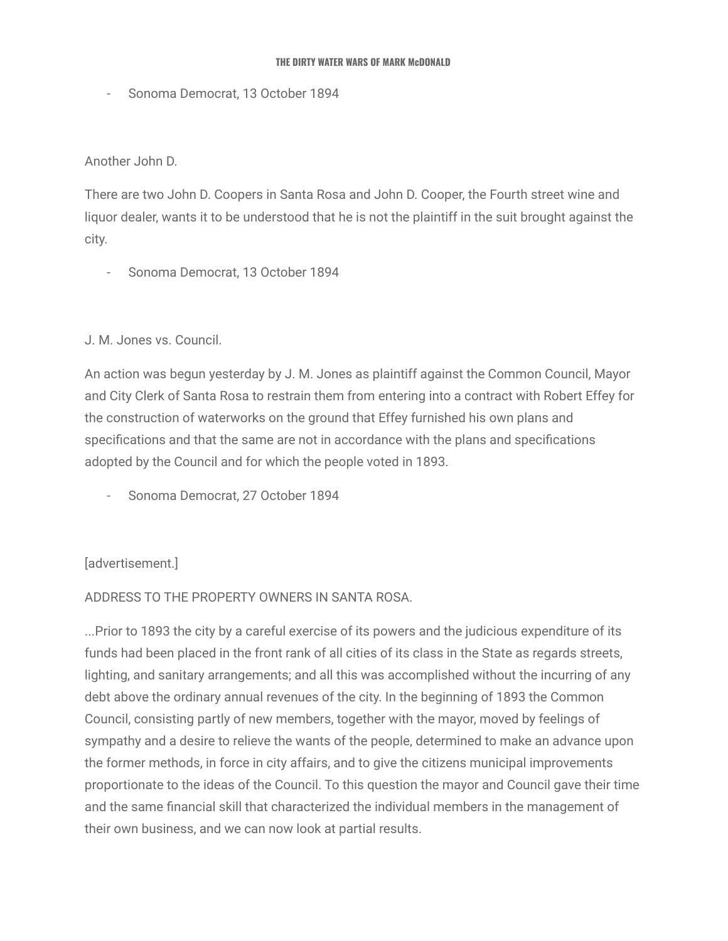- Sonoma Democrat, 13 October 1894

Another John D.

There are two John D. Coopers in Santa Rosa and John D. Cooper, the Fourth street wine and liquor dealer, wants it to be understood that he is not the plaintiff in the suit brought against the city.

- Sonoma Democrat, 13 October 1894

### J. M. Jones vs. Council.

An action was begun yesterday by J. M. Jones as plaintiff against the Common Council, Mayor and City Clerk of Santa Rosa to restrain them from entering into a contract with Robert Effey for the construction of waterworks on the ground that Effey furnished his own plans and specifications and that the same are not in accordance with the plans and specifications adopted by the Council and for which the people voted in 1893.

- Sonoma Democrat, 27 October 1894

### [advertisement.]

### ADDRESS TO THE PROPERTY OWNERS IN SANTA ROSA.

...Prior to 1893 the city by a careful exercise of its powers and the judicious expenditure of its funds had been placed in the front rank of all cities of its class in the State as regards streets, lighting, and sanitary arrangements; and all this was accomplished without the incurring of any debt above the ordinary annual revenues of the city. In the beginning of 1893 the Common Council, consisting partly of new members, together with the mayor, moved by feelings of sympathy and a desire to relieve the wants of the people, determined to make an advance upon the former methods, in force in city affairs, and to give the citizens municipal improvements proportionate to the ideas of the Council. To this question the mayor and Council gave their time and the same financial skill that characterized the individual members in the management of their own business, and we can now look at partial results.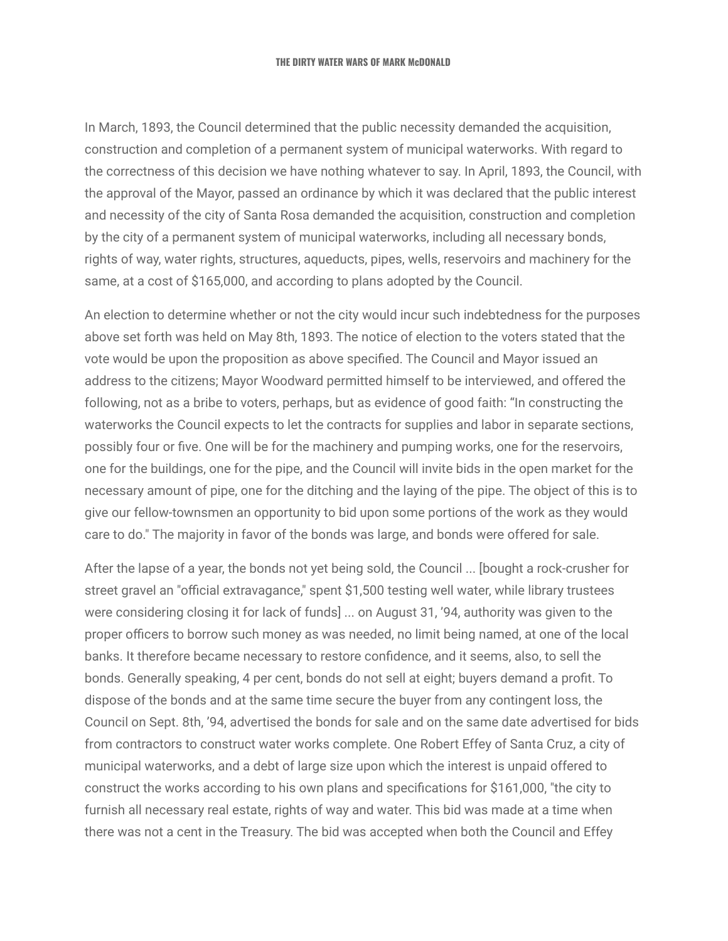In March, 1893, the Council determined that the public necessity demanded the acquisition, construction and completion of a permanent system of municipal waterworks. With regard to the correctness of this decision we have nothing whatever to say. In April, 1893, the Council, with the approval of the Mayor, passed an ordinance by which it was declared that the public interest and necessity of the city of Santa Rosa demanded the acquisition, construction and completion by the city of a permanent system of municipal waterworks, including all necessary bonds, rights of way, water rights, structures, aqueducts, pipes, wells, reservoirs and machinery for the same, at a cost of \$165,000, and according to plans adopted by the Council.

An election to determine whether or not the city would incur such indebtedness for the purposes above set forth was held on May 8th, 1893. The notice of election to the voters stated that the vote would be upon the proposition as above specified. The Council and Mayor issued an address to the citizens; Mayor Woodward permitted himself to be interviewed, and offered the following, not as a bribe to voters, perhaps, but as evidence of good faith: "In constructing the waterworks the Council expects to let the contracts for supplies and labor in separate sections, possibly four or five. One will be for the machinery and pumping works, one for the reservoirs, one for the buildings, one for the pipe, and the Council will invite bids in the open market for the necessary amount of pipe, one for the ditching and the laying of the pipe. The object of this is to give our fellow-townsmen an opportunity to bid upon some portions of the work as they would care to do." The majority in favor of the bonds was large, and bonds were offered for sale.

After the lapse of a year, the bonds not yet being sold, the Council ... [bought a rock-crusher for street gravel an "official extravagance," spent \$1,500 testing well water, while library trustees were considering closing it for lack of funds] ... on August 31, '94, authority was given to the proper officers to borrow such money as was needed, no limit being named, at one of the local banks. It therefore became necessary to restore confidence, and it seems, also, to sell the bonds. Generally speaking, 4 per cent, bonds do not sell at eight; buyers demand a profit. To dispose of the bonds and at the same time secure the buyer from any contingent loss, the Council on Sept. 8th, '94, advertised the bonds for sale and on the same date advertised for bids from contractors to construct water works complete. One Robert Effey of Santa Cruz, a city of municipal waterworks, and a debt of large size upon which the interest is unpaid offered to construct the works according to his own plans and specifications for \$161,000, "the city to furnish all necessary real estate, rights of way and water. This bid was made at a time when there was not a cent in the Treasury. The bid was accepted when both the Council and Effey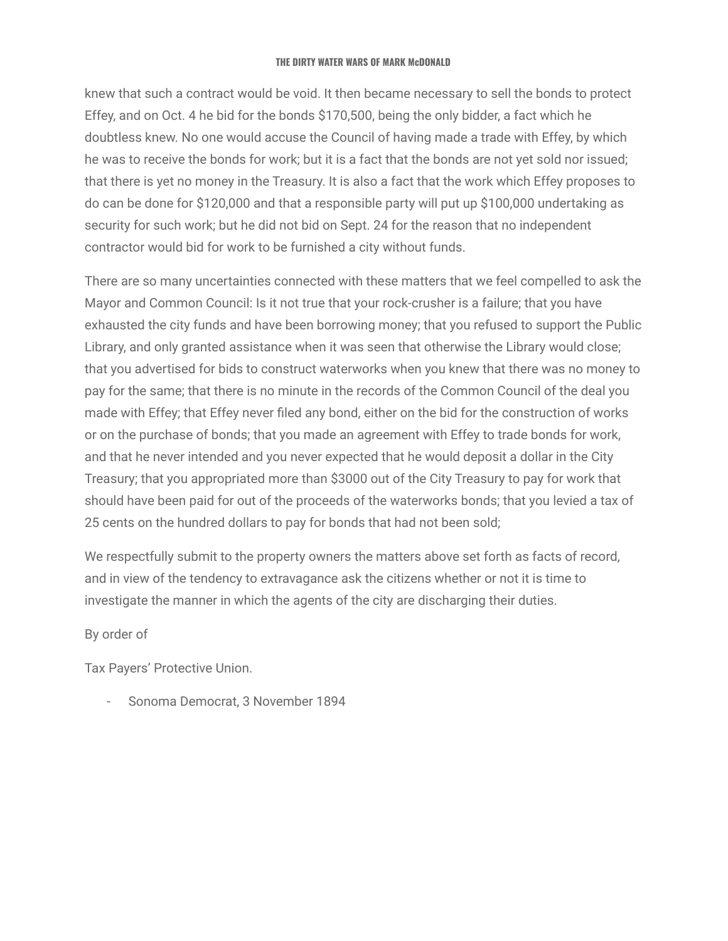knew that such a contract would be void. It then became necessary to sell the bonds to protect Effey, and on Oct. 4 he bid for the bonds \$170,500, being the only bidder, a fact which he doubtless knew. No one would accuse the Council of having made a trade with Effey, by which he was to receive the bonds for work; but it is a fact that the bonds are not yet sold nor issued; that there is yet no money in the Treasury. It is also a fact that the work which Effey proposes to do can be done for \$120,000 and that a responsible party will put up \$100,000 undertaking as security for such work; but he did not bid on Sept. 24 for the reason that no independent contractor would bid for work to be furnished a city without funds.

There are so many uncertainties connected with these matters that we feel compelled to ask the Mayor and Common Council: Is it not true that your rock-crusher is a failure; that you have exhausted the city funds and have been borrowing money; that you refused to support the Public Library, and only granted assistance when it was seen that otherwise the Library would close; that you advertised for bids to construct waterworks when you knew that there was no money to pay for the same; that there is no minute in the records of the Common Council of the deal you made with Effey; that Effey never filed any bond, either on the bid for the construction of works or on the purchase of bonds; that you made an agreement with Effey to trade bonds for work, and that he never intended and you never expected that he would deposit a dollar in the City Treasury; that you appropriated more than \$3000 out of the City Treasury to pay for work that should have been paid for out of the proceeds of the waterworks bonds; that you levied a tax of 25 cents on the hundred dollars to pay for bonds that had not been sold;

We respectfully submit to the property owners the matters above set forth as facts of record, and in view of the tendency to extravagance ask the citizens whether or not it is time to investigate the manner in which the agents of the city are discharging their duties.

### By order of

Tax Payers' Protective Union.

- Sonoma Democrat, 3 November 1894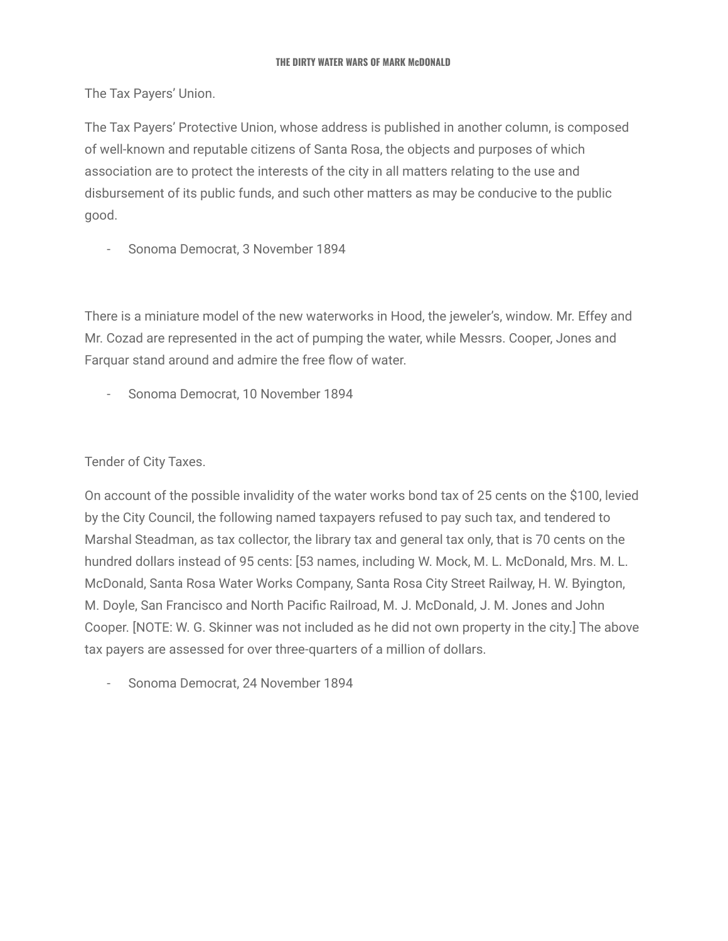The Tax Payers' Union.

The Tax Payers' Protective Union, whose address is published in another column, is composed of well-known and reputable citizens of Santa Rosa, the objects and purposes of which association are to protect the interests of the city in all matters relating to the use and disbursement of its public funds, and such other matters as may be conducive to the public good.

- Sonoma Democrat, 3 November 1894

There is a miniature model of the new waterworks in Hood, the jeweler's, window. Mr. Effey and Mr. Cozad are represented in the act of pumping the water, while Messrs. Cooper, Jones and Farquar stand around and admire the free flow of water.

- Sonoma Democrat, 10 November 1894

Tender of City Taxes.

On account of the possible invalidity of the water works bond tax of 25 cents on the \$100, levied by the City Council, the following named taxpayers refused to pay such tax, and tendered to Marshal Steadman, as tax collector, the library tax and general tax only, that is 70 cents on the hundred dollars instead of 95 cents: [53 names, including W. Mock, M. L. McDonald, Mrs. M. L. McDonald, Santa Rosa Water Works Company, Santa Rosa City Street Railway, H. W. Byington, M. Doyle, San Francisco and North Pacific Railroad, M. J. McDonald, J. M. Jones and John Cooper. [NOTE: W. G. Skinner was not included as he did not own property in the city.] The above tax payers are assessed for over three-quarters of a million of dollars.

- Sonoma Democrat, 24 November 1894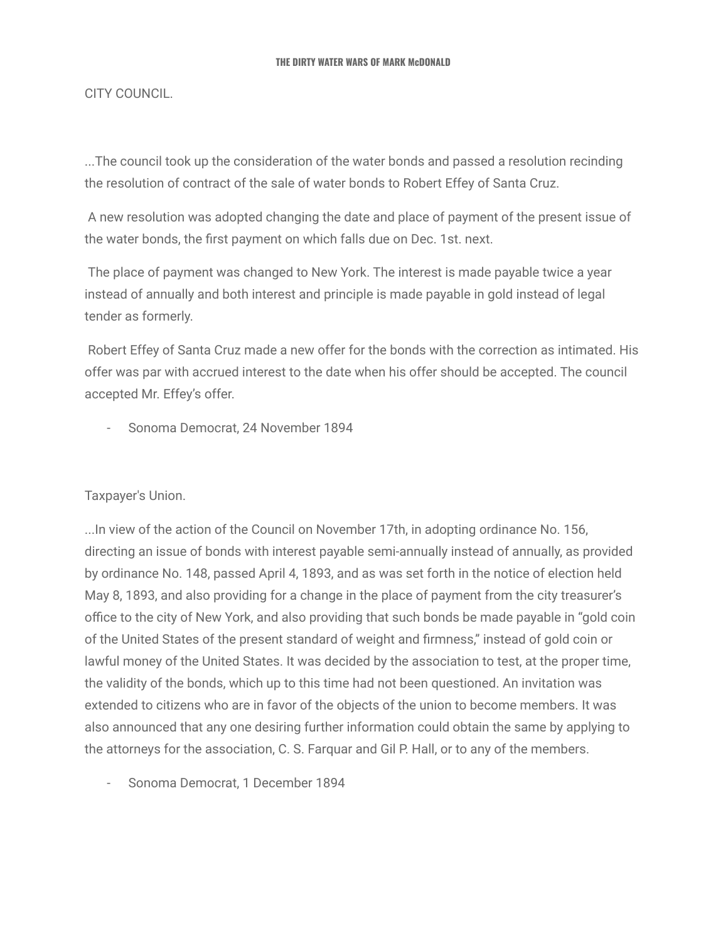CITY COUNCIL.

...The council took up the consideration of the water bonds and passed a resolution recinding the resolution of contract of the sale of water bonds to Robert Effey of Santa Cruz.

A new resolution was adopted changing the date and place of payment of the present issue of the water bonds, the first payment on which falls due on Dec. 1st. next.

The place of payment was changed to New York. The interest is made payable twice a year instead of annually and both interest and principle is made payable in gold instead of legal tender as formerly.

Robert Effey of Santa Cruz made a new offer for the bonds with the correction as intimated. His offer was par with accrued interest to the date when his offer should be accepted. The council accepted Mr. Effey's offer.

- Sonoma Democrat, 24 November 1894

Taxpayer's Union.

...In view of the action of the Council on November 17th, in adopting ordinance No. 156, directing an issue of bonds with interest payable semi-annually instead of annually, as provided by ordinance No. 148, passed April 4, 1893, and as was set forth in the notice of election held May 8, 1893, and also providing for a change in the place of payment from the city treasurer's office to the city of New York, and also providing that such bonds be made payable in "gold coin of the United States of the present standard of weight and firmness," instead of gold coin or lawful money of the United States. It was decided by the association to test, at the proper time, the validity of the bonds, which up to this time had not been questioned. An invitation was extended to citizens who are in favor of the objects of the union to become members. It was also announced that any one desiring further information could obtain the same by applying to the attorneys for the association, C. S. Farquar and Gil P. Hall, or to any of the members.

- Sonoma Democrat, 1 December 1894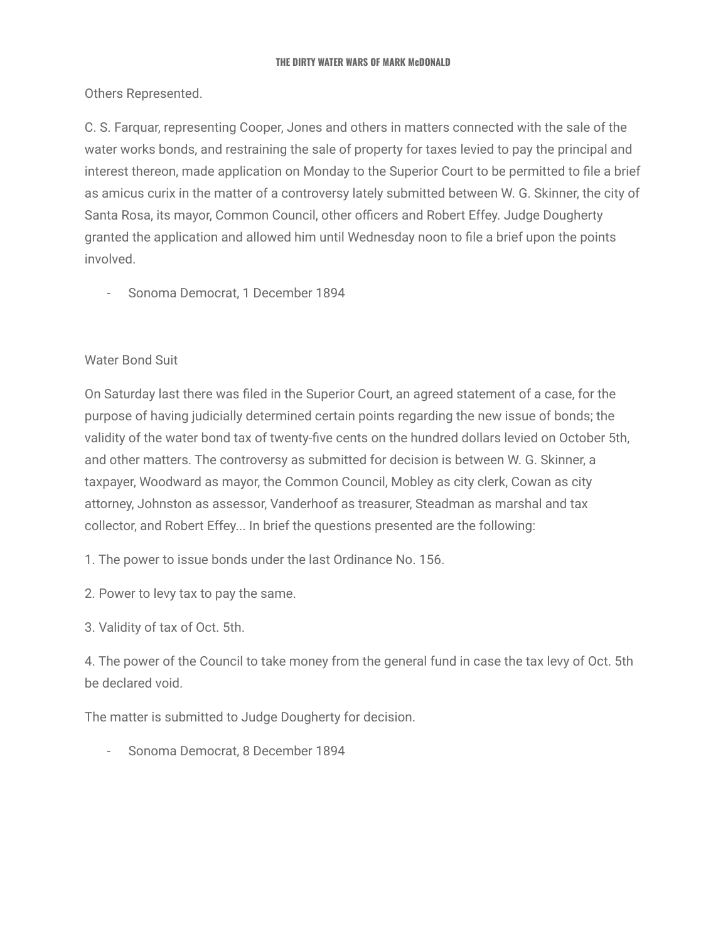Others Represented.

C. S. Farquar, representing Cooper, Jones and others in matters connected with the sale of the water works bonds, and restraining the sale of property for taxes levied to pay the principal and interest thereon, made application on Monday to the Superior Court to be permitted to file a brief as amicus curix in the matter of a controversy lately submitted between W. G. Skinner, the city of Santa Rosa, its mayor, Common Council, other officers and Robert Effey. Judge Dougherty granted the application and allowed him until Wednesday noon to file a brief upon the points involved.

- Sonoma Democrat, 1 December 1894

### Water Bond Suit

On Saturday last there was filed in the Superior Court, an agreed statement of a case, for the purpose of having judicially determined certain points regarding the new issue of bonds; the validity of the water bond tax of twenty-five cents on the hundred dollars levied on October 5th, and other matters. The controversy as submitted for decision is between W. G. Skinner, a taxpayer, Woodward as mayor, the Common Council, Mobley as city clerk, Cowan as city attorney, Johnston as assessor, Vanderhoof as treasurer, Steadman as marshal and tax collector, and Robert Effey... In brief the questions presented are the following:

1. The power to issue bonds under the last Ordinance No. 156.

- 2. Power to levy tax to pay the same.
- 3. Validity of tax of Oct. 5th.

4. The power of the Council to take money from the general fund in case the tax levy of Oct. 5th be declared void.

The matter is submitted to Judge Dougherty for decision.

Sonoma Democrat, 8 December 1894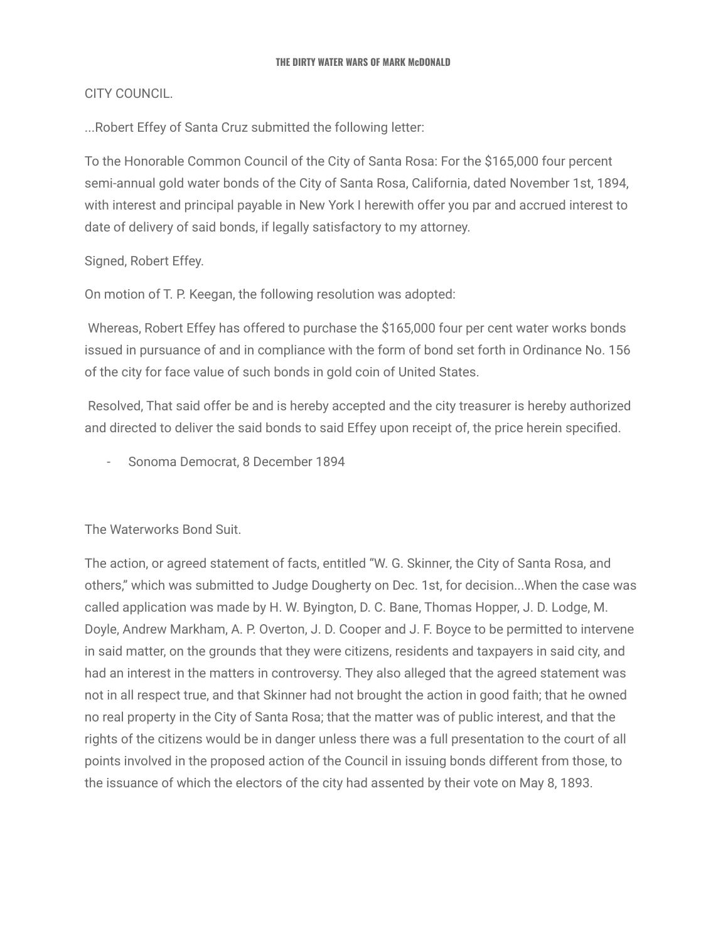CITY COUNCIL.

...Robert Effey of Santa Cruz submitted the following letter:

To the Honorable Common Council of the City of Santa Rosa: For the \$165,000 four percent semi-annual gold water bonds of the City of Santa Rosa, California, dated November 1st, 1894, with interest and principal payable in New York I herewith offer you par and accrued interest to date of delivery of said bonds, if legally satisfactory to my attorney.

Signed, Robert Effey.

On motion of T. P. Keegan, the following resolution was adopted:

Whereas, Robert Effey has offered to purchase the \$165,000 four per cent water works bonds issued in pursuance of and in compliance with the form of bond set forth in Ordinance No. 156 of the city for face value of such bonds in gold coin of United States.

Resolved, That said offer be and is hereby accepted and the city treasurer is hereby authorized and directed to deliver the said bonds to said Effey upon receipt of, the price herein specified.

Sonoma Democrat, 8 December 1894

The Waterworks Bond Suit.

The action, or agreed statement of facts, entitled "W. G. Skinner, the City of Santa Rosa, and others," which was submitted to Judge Dougherty on Dec. 1st, for decision...When the case was called application was made by H. W. Byington, D. C. Bane, Thomas Hopper, J. D. Lodge, M. Doyle, Andrew Markham, A. P. Overton, J. D. Cooper and J. F. Boyce to be permitted to intervene in said matter, on the grounds that they were citizens, residents and taxpayers in said city, and had an interest in the matters in controversy. They also alleged that the agreed statement was not in all respect true, and that Skinner had not brought the action in good faith; that he owned no real property in the City of Santa Rosa; that the matter was of public interest, and that the rights of the citizens would be in danger unless there was a full presentation to the court of all points involved in the proposed action of the Council in issuing bonds different from those, to the issuance of which the electors of the city had assented by their vote on May 8, 1893.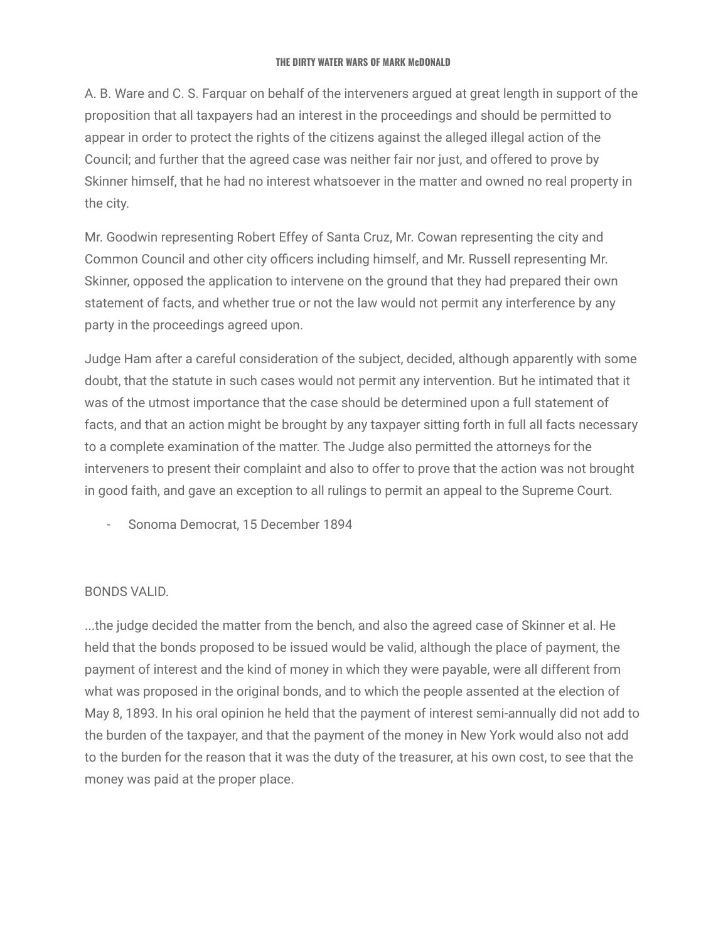A. B. Ware and C. S. Farquar on behalf of the interveners argued at great length in support of the proposition that all taxpayers had an interest in the proceedings and should be permitted to appear in order to protect the rights of the citizens against the alleged illegal action of the Council; and further that the agreed case was neither fair nor just, and offered to prove by Skinner himself, that he had no interest whatsoever in the matter and owned no real property in the city.

Mr. Goodwin representing Robert Effey of Santa Cruz, Mr. Cowan representing the city and Common Council and other city officers including himself, and Mr. Russell representing Mr. Skinner, opposed the application to intervene on the ground that they had prepared their own statement of facts, and whether true or not the law would not permit any interference by any party in the proceedings agreed upon.

Judge Ham after a careful consideration of the subject, decided, although apparently with some doubt, that the statute in such cases would not permit any intervention. But he intimated that it was of the utmost importance that the case should be determined upon a full statement of facts, and that an action might be brought by any taxpayer sitting forth in full all facts necessary to a complete examination of the matter. The Judge also permitted the attorneys for the interveners to present their complaint and also to offer to prove that the action was not brought in good faith, and gave an exception to all rulings to permit an appeal to the Supreme Court.

- Sonoma Democrat, 15 December 1894

### BONDS VALID.

...the judge decided the matter from the bench, and also the agreed case of Skinner et al. He held that the bonds proposed to be issued would be valid, although the place of payment, the payment of interest and the kind of money in which they were payable, were all different from what was proposed in the original bonds, and to which the people assented at the election of May 8, 1893. In his oral opinion he held that the payment of interest semi-annually did not add to the burden of the taxpayer, and that the payment of the money in New York would also not add to the burden for the reason that it was the duty of the treasurer, at his own cost, to see that the money was paid at the proper place.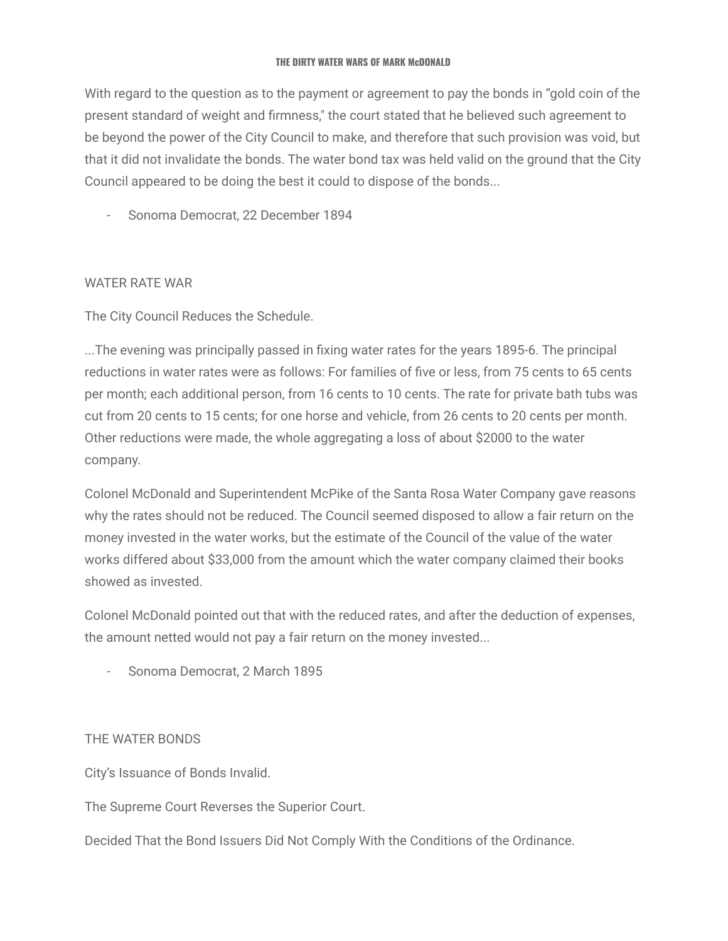With regard to the question as to the payment or agreement to pay the bonds in "gold coin of the present standard of weight and firmness," the court stated that he believed such agreement to be beyond the power of the City Council to make, and therefore that such provision was void, but that it did not invalidate the bonds. The water bond tax was held valid on the ground that the City Council appeared to be doing the best it could to dispose of the bonds...

- Sonoma Democrat, 22 December 1894

# WATER RATE WAR

The City Council Reduces the Schedule.

...The evening was principally passed in fixing water rates for the years 1895-6. The principal reductions in water rates were as follows: For families of five or less, from 75 cents to 65 cents per month; each additional person, from 16 cents to 10 cents. The rate for private bath tubs was cut from 20 cents to 15 cents; for one horse and vehicle, from 26 cents to 20 cents per month. Other reductions were made, the whole aggregating a loss of about \$2000 to the water company.

Colonel McDonald and Superintendent McPike of the Santa Rosa Water Company gave reasons why the rates should not be reduced. The Council seemed disposed to allow a fair return on the money invested in the water works, but the estimate of the Council of the value of the water works differed about \$33,000 from the amount which the water company claimed their books showed as invested.

Colonel McDonald pointed out that with the reduced rates, and after the deduction of expenses, the amount netted would not pay a fair return on the money invested...

- Sonoma Democrat, 2 March 1895

### THE WATER BONDS

City's Issuance of Bonds Invalid.

The Supreme Court Reverses the Superior Court.

Decided That the Bond Issuers Did Not Comply With the Conditions of the Ordinance.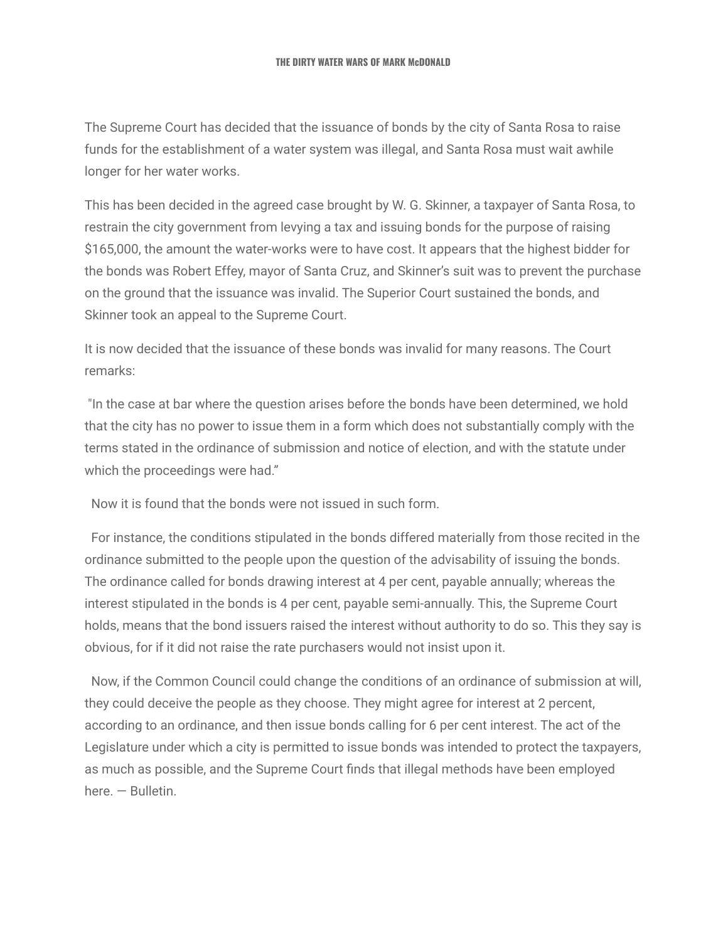The Supreme Court has decided that the issuance of bonds by the city of Santa Rosa to raise funds for the establishment of a water system was illegal, and Santa Rosa must wait awhile longer for her water works.

This has been decided in the agreed case brought by W. G. Skinner, a taxpayer of Santa Rosa, to restrain the city government from levying a tax and issuing bonds for the purpose of raising \$165,000, the amount the water-works were to have cost. It appears that the highest bidder for the bonds was Robert Effey, mayor of Santa Cruz, and Skinner's suit was to prevent the purchase on the ground that the issuance was invalid. The Superior Court sustained the bonds, and Skinner took an appeal to the Supreme Court.

It is now decided that the issuance of these bonds was invalid for many reasons. The Court remarks:

"In the case at bar where the question arises before the bonds have been determined, we hold that the city has no power to issue them in a form which does not substantially comply with the terms stated in the ordinance of submission and notice of election, and with the statute under which the proceedings were had."

Now it is found that the bonds were not issued in such form.

For instance, the conditions stipulated in the bonds differed materially from those recited in the ordinance submitted to the people upon the question of the advisability of issuing the bonds. The ordinance called for bonds drawing interest at 4 per cent, payable annually; whereas the interest stipulated in the bonds is 4 per cent, payable semi-annually. This, the Supreme Court holds, means that the bond issuers raised the interest without authority to do so. This they say is obvious, for if it did not raise the rate purchasers would not insist upon it.

Now, if the Common Council could change the conditions of an ordinance of submission at will, they could deceive the people as they choose. They might agree for interest at 2 percent, according to an ordinance, and then issue bonds calling for 6 per cent interest. The act of the Legislature under which a city is permitted to issue bonds was intended to protect the taxpayers, as much as possible, and the Supreme Court finds that illegal methods have been employed here. — Bulletin.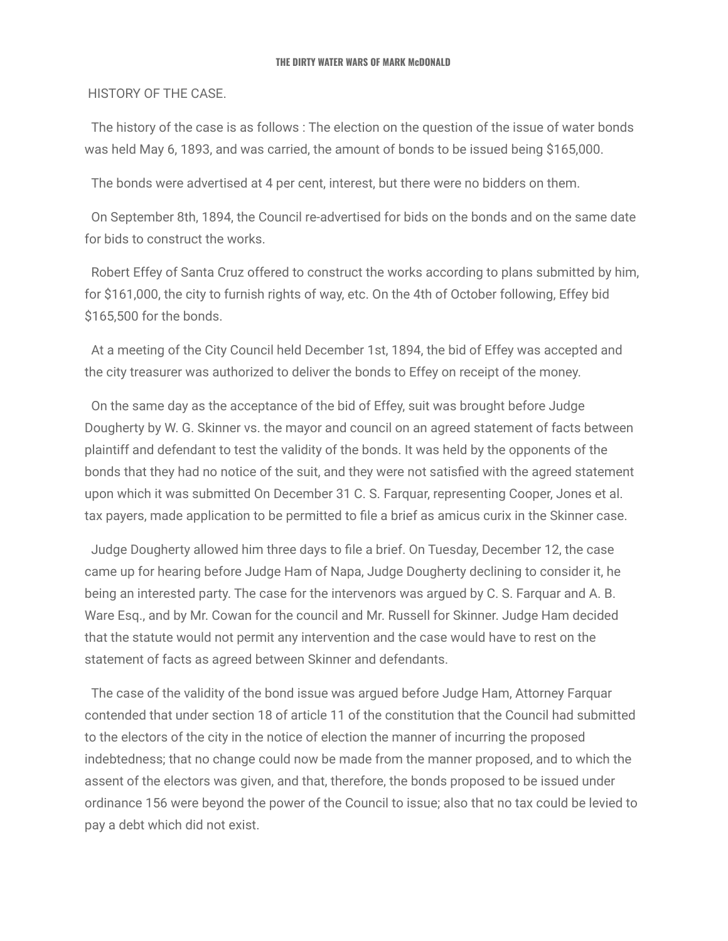### HISTORY OF THE CASE.

The history of the case is as follows : The election on the question of the issue of water bonds was held May 6, 1893, and was carried, the amount of bonds to be issued being \$165,000.

The bonds were advertised at 4 per cent, interest, but there were no bidders on them.

On September 8th, 1894, the Council re-advertised for bids on the bonds and on the same date for bids to construct the works.

Robert Effey of Santa Cruz offered to construct the works according to plans submitted by him, for \$161,000, the city to furnish rights of way, etc. On the 4th of October following, Effey bid \$165,500 for the bonds.

At a meeting of the City Council held December 1st, 1894, the bid of Effey was accepted and the city treasurer was authorized to deliver the bonds to Effey on receipt of the money.

On the same day as the acceptance of the bid of Effey, suit was brought before Judge Dougherty by W. G. Skinner vs. the mayor and council on an agreed statement of facts between plaintiff and defendant to test the validity of the bonds. It was held by the opponents of the bonds that they had no notice of the suit, and they were not satisfied with the agreed statement upon which it was submitted On December 31 C. S. Farquar, representing Cooper, Jones et al. tax payers, made application to be permitted to file a brief as amicus curix in the Skinner case.

Judge Dougherty allowed him three days to file a brief. On Tuesday, December 12, the case came up for hearing before Judge Ham of Napa, Judge Dougherty declining to consider it, he being an interested party. The case for the intervenors was argued by C. S. Farquar and A. B. Ware Esq., and by Mr. Cowan for the council and Mr. Russell for Skinner. Judge Ham decided that the statute would not permit any intervention and the case would have to rest on the statement of facts as agreed between Skinner and defendants.

The case of the validity of the bond issue was argued before Judge Ham, Attorney Farquar contended that under section 18 of article 11 of the constitution that the Council had submitted to the electors of the city in the notice of election the manner of incurring the proposed indebtedness; that no change could now be made from the manner proposed, and to which the assent of the electors was given, and that, therefore, the bonds proposed to be issued under ordinance 156 were beyond the power of the Council to issue; also that no tax could be levied to pay a debt which did not exist.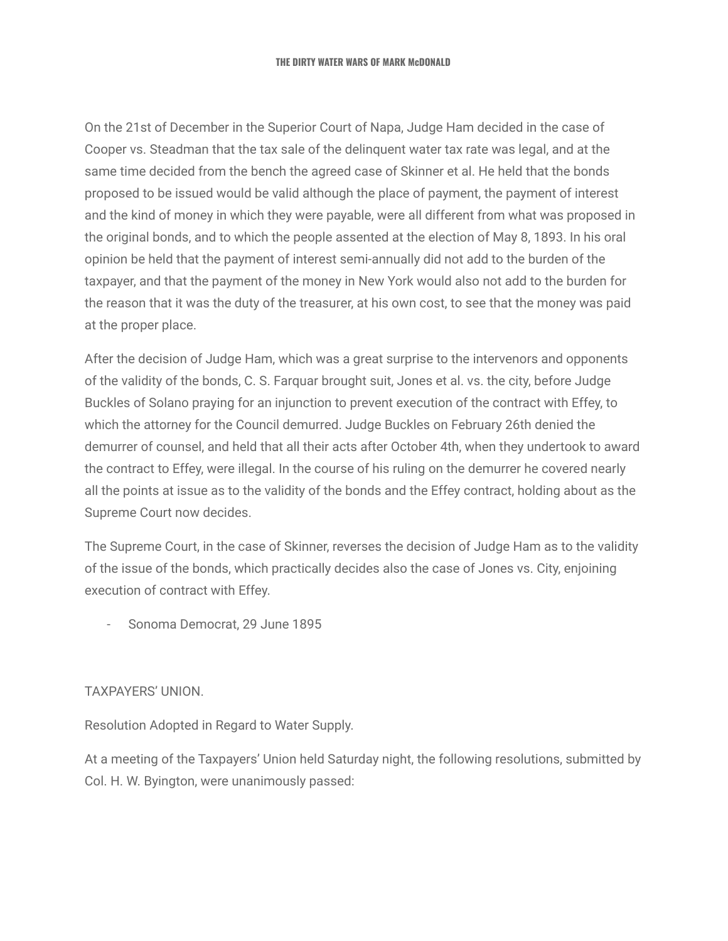On the 21st of December in the Superior Court of Napa, Judge Ham decided in the case of Cooper vs. Steadman that the tax sale of the delinquent water tax rate was legal, and at the same time decided from the bench the agreed case of Skinner et al. He held that the bonds proposed to be issued would be valid although the place of payment, the payment of interest and the kind of money in which they were payable, were all different from what was proposed in the original bonds, and to which the people assented at the election of May 8, 1893. In his oral opinion be held that the payment of interest semi-annually did not add to the burden of the taxpayer, and that the payment of the money in New York would also not add to the burden for the reason that it was the duty of the treasurer, at his own cost, to see that the money was paid at the proper place.

After the decision of Judge Ham, which was a great surprise to the intervenors and opponents of the validity of the bonds, C. S. Farquar brought suit, Jones et al. vs. the city, before Judge Buckles of Solano praying for an injunction to prevent execution of the contract with Effey, to which the attorney for the Council demurred. Judge Buckles on February 26th denied the demurrer of counsel, and held that all their acts after October 4th, when they undertook to award the contract to Effey, were illegal. In the course of his ruling on the demurrer he covered nearly all the points at issue as to the validity of the bonds and the Effey contract, holding about as the Supreme Court now decides.

The Supreme Court, in the case of Skinner, reverses the decision of Judge Ham as to the validity of the issue of the bonds, which practically decides also the case of Jones vs. City, enjoining execution of contract with Effey.

- Sonoma Democrat, 29 June 1895

### TAXPAYERS' UNION.

Resolution Adopted in Regard to Water Supply.

At a meeting of the Taxpayers' Union held Saturday night, the following resolutions, submitted by Col. H. W. Byington, were unanimously passed: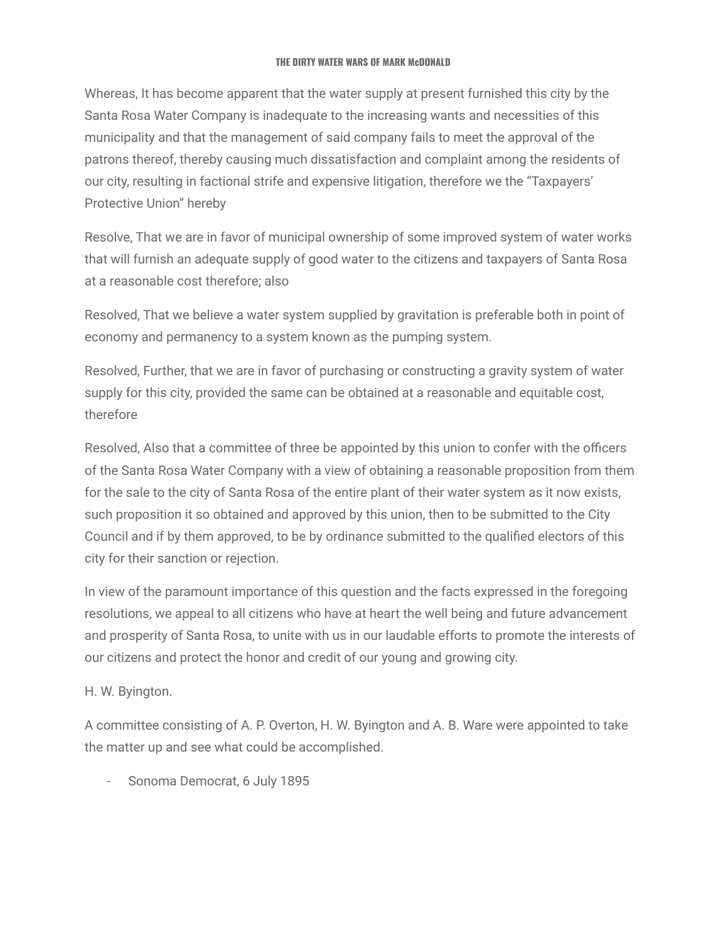Whereas, It has become apparent that the water supply at present furnished this city by the Santa Rosa Water Company is inadequate to the increasing wants and necessities of this municipality and that the management of said company fails to meet the approval of the patrons thereof, thereby causing much dissatisfaction and complaint among the residents of our city, resulting in factional strife and expensive litigation, therefore we the "Taxpayers' Protective Union" hereby

Resolve, That we are in favor of municipal ownership of some improved system of water works that will furnish an adequate supply of good water to the citizens and taxpayers of Santa Rosa at a reasonable cost therefore; also

Resolved, That we believe a water system supplied by gravitation is preferable both in point of economy and permanency to a system known as the pumping system.

Resolved, Further, that we are in favor of purchasing or constructing a gravity system of water supply for this city, provided the same can be obtained at a reasonable and equitable cost, therefore

Resolved, Also that a committee of three be appointed by this union to confer with the officers of the Santa Rosa Water Company with a view of obtaining a reasonable proposition from them for the sale to the city of Santa Rosa of the entire plant of their water system as it now exists, such proposition it so obtained and approved by this union, then to be submitted to the City Council and if by them approved, to be by ordinance submitted to the qualified electors of this city for their sanction or rejection.

In view of the paramount importance of this question and the facts expressed in the foregoing resolutions, we appeal to all citizens who have at heart the well being and future advancement and prosperity of Santa Rosa, to unite with us in our laudable efforts to promote the interests of our citizens and protect the honor and credit of our young and growing city.

# H. W. Byington.

A committee consisting of A. P. Overton, H. W. Byington and A. B. Ware were appointed to take the matter up and see what could be accomplished.

- Sonoma Democrat, 6 July 1895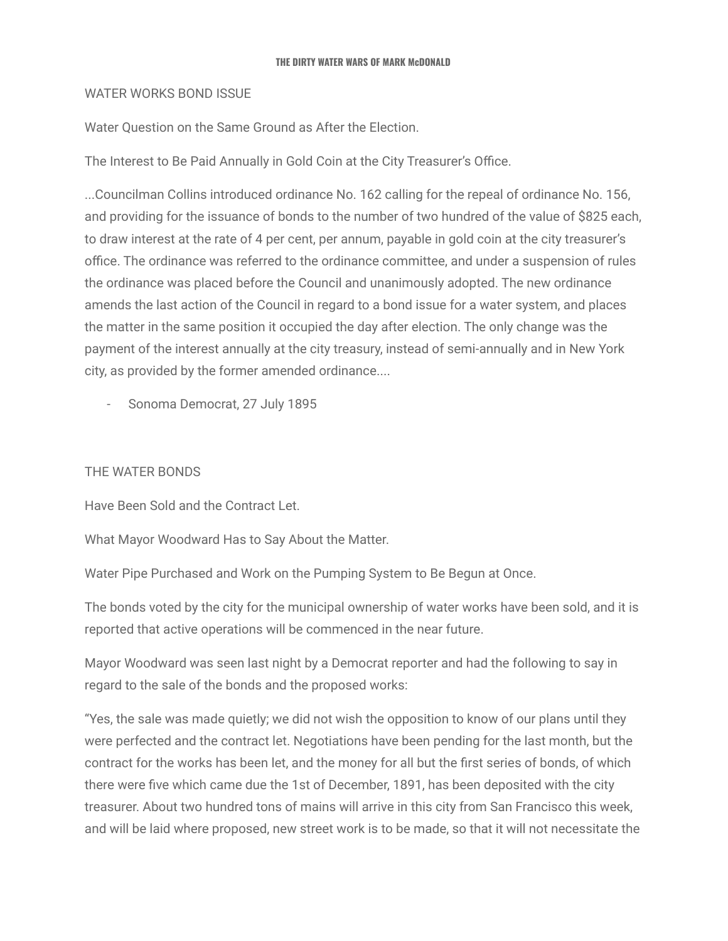### WATER WORKS BOND ISSUE

Water Question on the Same Ground as After the Election.

The Interest to Be Paid Annually in Gold Coin at the City Treasurer's Office.

...Councilman Collins introduced ordinance No. 162 calling for the repeal of ordinance No. 156, and providing for the issuance of bonds to the number of two hundred of the value of \$825 each, to draw interest at the rate of 4 per cent, per annum, payable in gold coin at the city treasurer's office. The ordinance was referred to the ordinance committee, and under a suspension of rules the ordinance was placed before the Council and unanimously adopted. The new ordinance amends the last action of the Council in regard to a bond issue for a water system, and places the matter in the same position it occupied the day after election. The only change was the payment of the interest annually at the city treasury, instead of semi-annually and in New York city, as provided by the former amended ordinance....

Sonoma Democrat, 27 July 1895

### THE WATER BONDS

Have Been Sold and the Contract Let.

What Mayor Woodward Has to Say About the Matter.

Water Pipe Purchased and Work on the Pumping System to Be Begun at Once.

The bonds voted by the city for the municipal ownership of water works have been sold, and it is reported that active operations will be commenced in the near future.

Mayor Woodward was seen last night by a Democrat reporter and had the following to say in regard to the sale of the bonds and the proposed works:

"Yes, the sale was made quietly; we did not wish the opposition to know of our plans until they were perfected and the contract let. Negotiations have been pending for the last month, but the contract for the works has been let, and the money for all but the first series of bonds, of which there were five which came due the 1st of December, 1891, has been deposited with the city treasurer. About two hundred tons of mains will arrive in this city from San Francisco this week, and will be laid where proposed, new street work is to be made, so that it will not necessitate the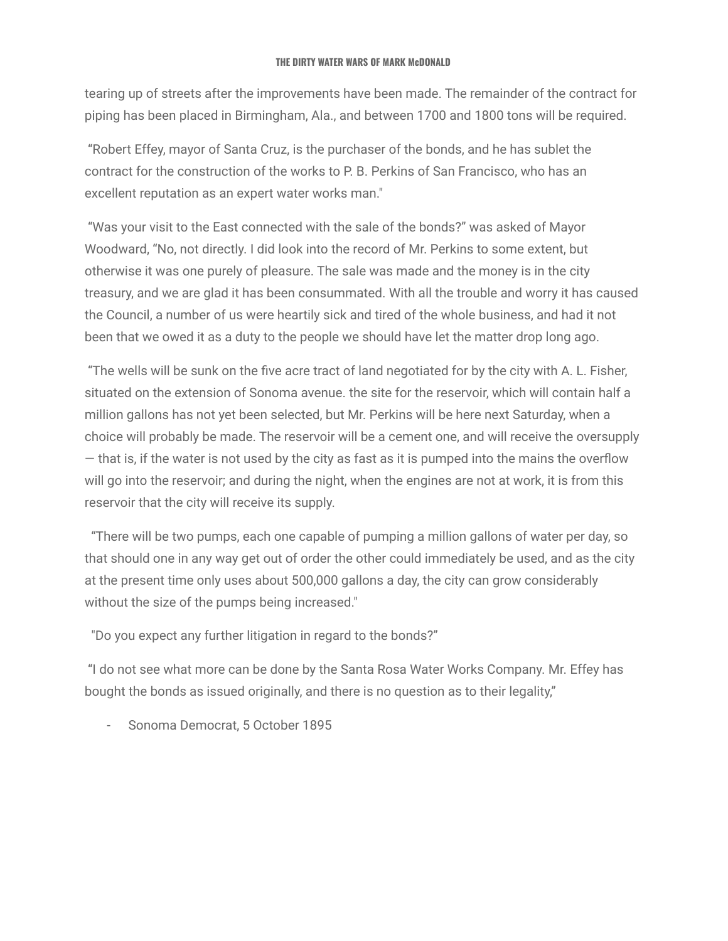tearing up of streets after the improvements have been made. The remainder of the contract for piping has been placed in Birmingham, Ala., and between 1700 and 1800 tons will be required.

"Robert Effey, mayor of Santa Cruz, is the purchaser of the bonds, and he has sublet the contract for the construction of the works to P. B. Perkins of San Francisco, who has an excellent reputation as an expert water works man."

"Was your visit to the East connected with the sale of the bonds?" was asked of Mayor Woodward, "No, not directly. I did look into the record of Mr. Perkins to some extent, but otherwise it was one purely of pleasure. The sale was made and the money is in the city treasury, and we are glad it has been consummated. With all the trouble and worry it has caused the Council, a number of us were heartily sick and tired of the whole business, and had it not been that we owed it as a duty to the people we should have let the matter drop long ago.

"The wells will be sunk on the five acre tract of land negotiated for by the city with A. L. Fisher, situated on the extension of Sonoma avenue. the site for the reservoir, which will contain half a million gallons has not yet been selected, but Mr. Perkins will be here next Saturday, when a choice will probably be made. The reservoir will be a cement one, and will receive the oversupply — that is, if the water is not used by the city as fast as it is pumped into the mains the overflow will go into the reservoir; and during the night, when the engines are not at work, it is from this reservoir that the city will receive its supply.

"There will be two pumps, each one capable of pumping a million gallons of water per day, so that should one in any way get out of order the other could immediately be used, and as the city at the present time only uses about 500,000 gallons a day, the city can grow considerably without the size of the pumps being increased."

"Do you expect any further litigation in regard to the bonds?"

"I do not see what more can be done by the Santa Rosa Water Works Company. Mr. Effey has bought the bonds as issued originally, and there is no question as to their legality,"

- Sonoma Democrat, 5 October 1895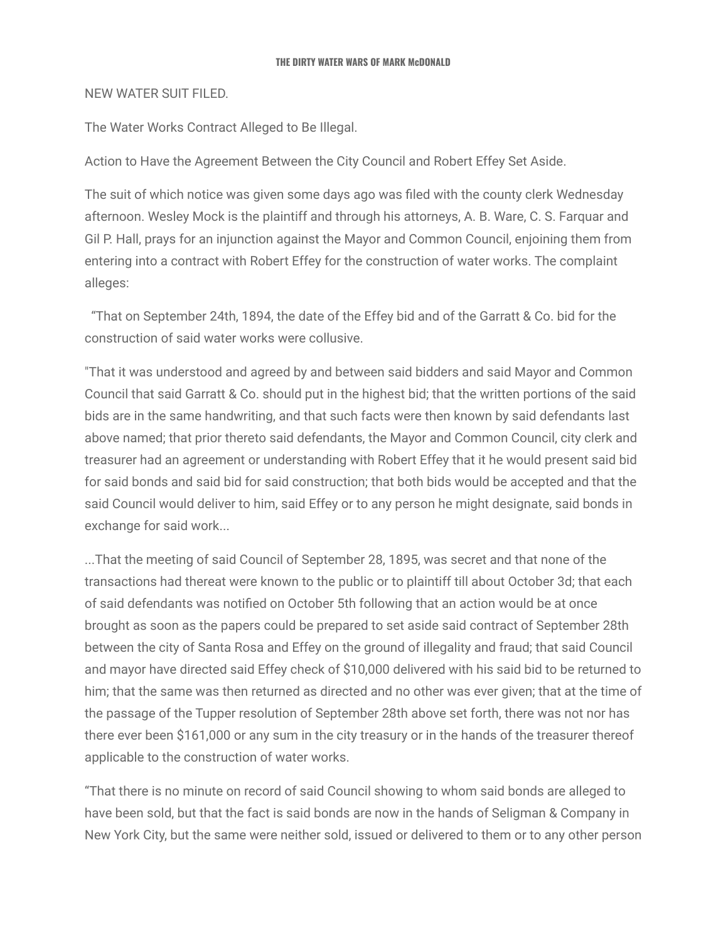### NEW WATER SUIT FILED.

The Water Works Contract Alleged to Be Illegal.

Action to Have the Agreement Between the City Council and Robert Effey Set Aside.

The suit of which notice was given some days ago was filed with the county clerk Wednesday afternoon. Wesley Mock is the plaintiff and through his attorneys, A. B. Ware, C. S. Farquar and Gil P. Hall, prays for an injunction against the Mayor and Common Council, enjoining them from entering into a contract with Robert Effey for the construction of water works. The complaint alleges:

"That on September 24th, 1894, the date of the Effey bid and of the Garratt & Co. bid for the construction of said water works were collusive.

"That it was understood and agreed by and between said bidders and said Mayor and Common Council that said Garratt & Co. should put in the highest bid; that the written portions of the said bids are in the same handwriting, and that such facts were then known by said defendants last above named; that prior thereto said defendants, the Mayor and Common Council, city clerk and treasurer had an agreement or understanding with Robert Effey that it he would present said bid for said bonds and said bid for said construction; that both bids would be accepted and that the said Council would deliver to him, said Effey or to any person he might designate, said bonds in exchange for said work...

...That the meeting of said Council of September 28, 1895, was secret and that none of the transactions had thereat were known to the public or to plaintiff till about October 3d; that each of said defendants was notified on October 5th following that an action would be at once brought as soon as the papers could be prepared to set aside said contract of September 28th between the city of Santa Rosa and Effey on the ground of illegality and fraud; that said Council and mayor have directed said Effey check of \$10,000 delivered with his said bid to be returned to him; that the same was then returned as directed and no other was ever given; that at the time of the passage of the Tupper resolution of September 28th above set forth, there was not nor has there ever been \$161,000 or any sum in the city treasury or in the hands of the treasurer thereof applicable to the construction of water works.

"That there is no minute on record of said Council showing to whom said bonds are alleged to have been sold, but that the fact is said bonds are now in the hands of Seligman & Company in New York City, but the same were neither sold, issued or delivered to them or to any other person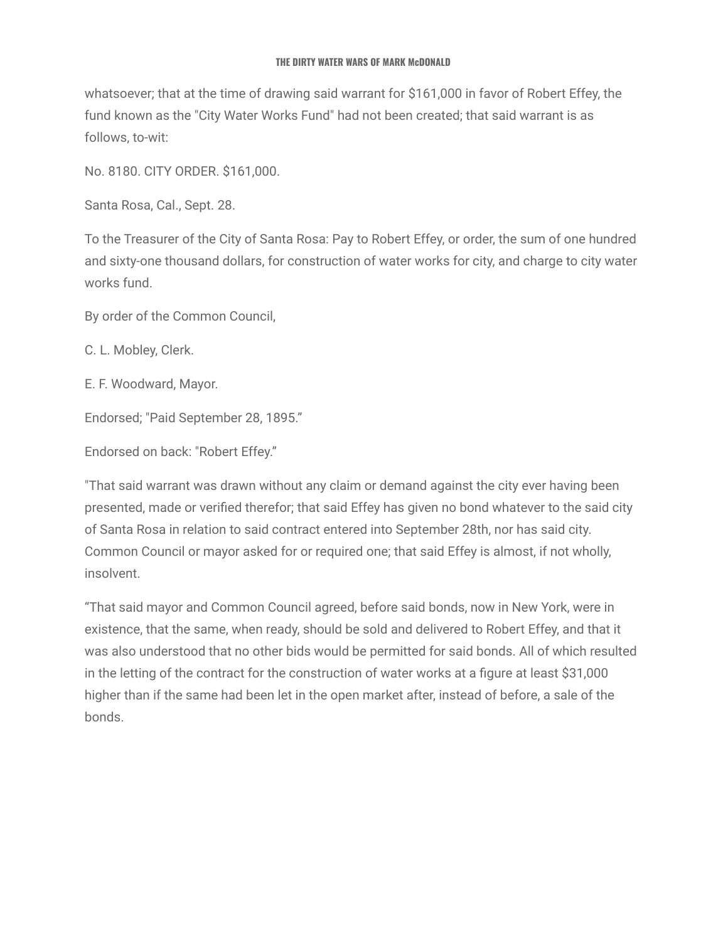whatsoever; that at the time of drawing said warrant for \$161,000 in favor of Robert Effey, the fund known as the "City Water Works Fund" had not been created; that said warrant is as follows, to-wit:

No. 8180. CITY ORDER. \$161,000.

Santa Rosa, Cal., Sept. 28.

To the Treasurer of the City of Santa Rosa: Pay to Robert Effey, or order, the sum of one hundred and sixty-one thousand dollars, for construction of water works for city, and charge to city water works fund.

By order of the Common Council,

C. L. Mobley, Clerk.

E. F. Woodward, Mayor.

Endorsed; "Paid September 28, 1895."

Endorsed on back: "Robert Effey."

"That said warrant was drawn without any claim or demand against the city ever having been presented, made or verified therefor; that said Effey has given no bond whatever to the said city of Santa Rosa in relation to said contract entered into September 28th, nor has said city. Common Council or mayor asked for or required one; that said Effey is almost, if not wholly, insolvent.

"That said mayor and Common Council agreed, before said bonds, now in New York, were in existence, that the same, when ready, should be sold and delivered to Robert Effey, and that it was also understood that no other bids would be permitted for said bonds. All of which resulted in the letting of the contract for the construction of water works at a figure at least \$31,000 higher than if the same had been let in the open market after, instead of before, a sale of the bonds.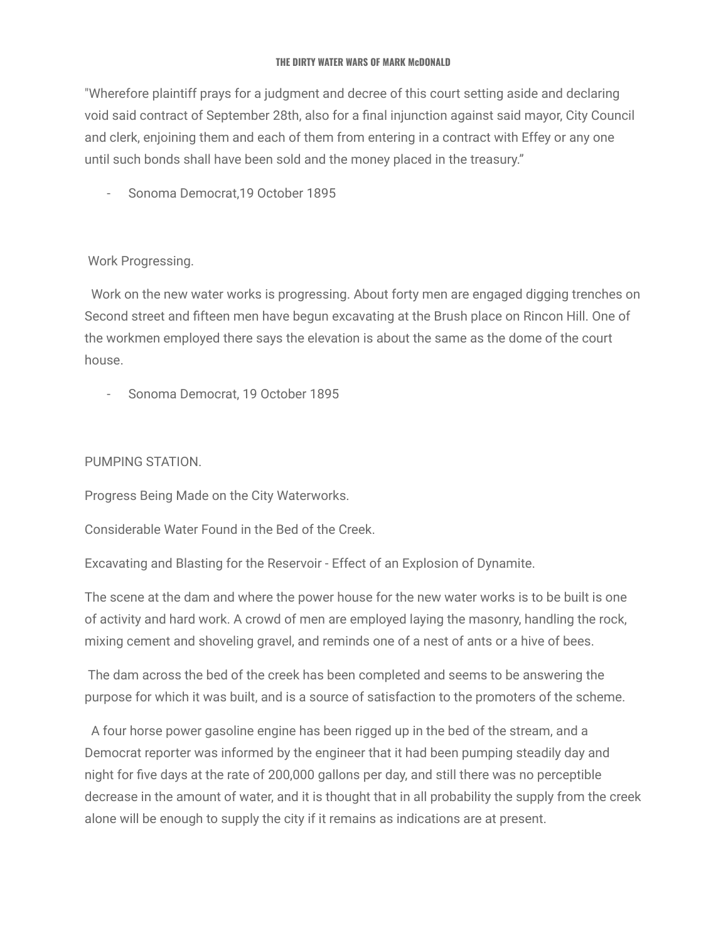"Wherefore plaintiff prays for a judgment and decree of this court setting aside and declaring void said contract of September 28th, also for a final injunction against said mayor, City Council and clerk, enjoining them and each of them from entering in a contract with Effey or any one until such bonds shall have been sold and the money placed in the treasury."

- Sonoma Democrat,19 October 1895

# Work Progressing.

Work on the new water works is progressing. About forty men are engaged digging trenches on Second street and fifteen men have begun excavating at the Brush place on Rincon Hill. One of the workmen employed there says the elevation is about the same as the dome of the court house.

- Sonoma Democrat, 19 October 1895

### PUMPING STATION.

Progress Being Made on the City Waterworks.

Considerable Water Found in the Bed of the Creek.

Excavating and Blasting for the Reservoir - Effect of an Explosion of Dynamite.

The scene at the dam and where the power house for the new water works is to be built is one of activity and hard work. A crowd of men are employed laying the masonry, handling the rock, mixing cement and shoveling gravel, and reminds one of a nest of ants or a hive of bees.

The dam across the bed of the creek has been completed and seems to be answering the purpose for which it was built, and is a source of satisfaction to the promoters of the scheme.

A four horse power gasoline engine has been rigged up in the bed of the stream, and a Democrat reporter was informed by the engineer that it had been pumping steadily day and night for five days at the rate of 200,000 gallons per day, and still there was no perceptible decrease in the amount of water, and it is thought that in all probability the supply from the creek alone will be enough to supply the city if it remains as indications are at present.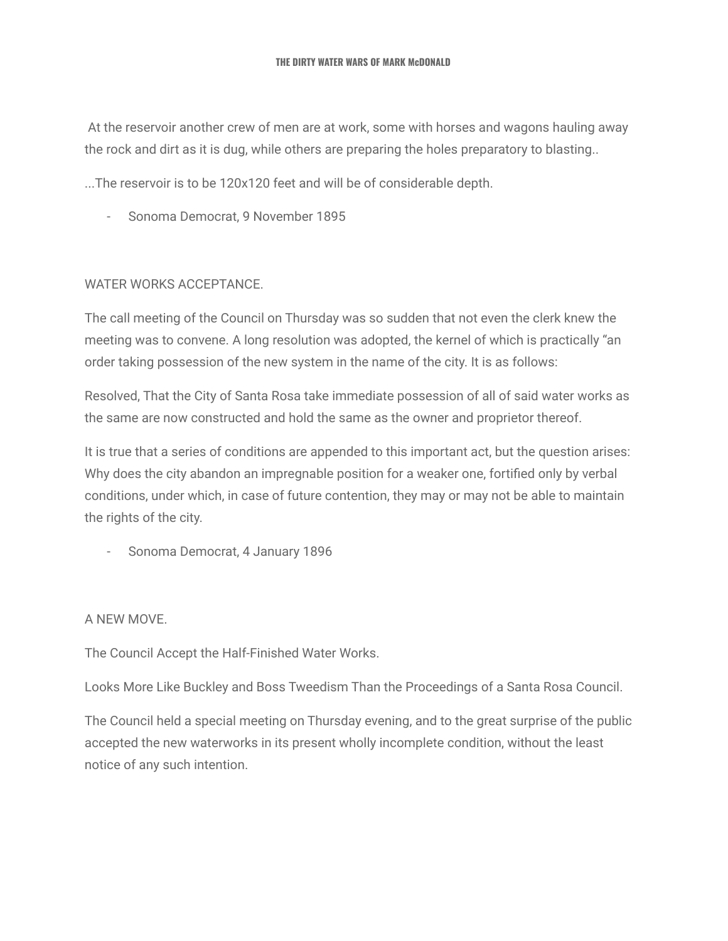At the reservoir another crew of men are at work, some with horses and wagons hauling away the rock and dirt as it is dug, while others are preparing the holes preparatory to blasting..

...The reservoir is to be 120x120 feet and will be of considerable depth.

- Sonoma Democrat, 9 November 1895

### WATER WORKS ACCEPTANCE.

The call meeting of the Council on Thursday was so sudden that not even the clerk knew the meeting was to convene. A long resolution was adopted, the kernel of which is practically "an order taking possession of the new system in the name of the city. It is as follows:

Resolved, That the City of Santa Rosa take immediate possession of all of said water works as the same are now constructed and hold the same as the owner and proprietor thereof.

It is true that a series of conditions are appended to this important act, but the question arises: Why does the city abandon an impregnable position for a weaker one, fortified only by verbal conditions, under which, in case of future contention, they may or may not be able to maintain the rights of the city.

- Sonoma Democrat, 4 January 1896

### A NEW MOVE.

The Council Accept the Half-Finished Water Works.

Looks More Like Buckley and Boss Tweedism Than the Proceedings of a Santa Rosa Council.

The Council held a special meeting on Thursday evening, and to the great surprise of the public accepted the new waterworks in its present wholly incomplete condition, without the least notice of any such intention.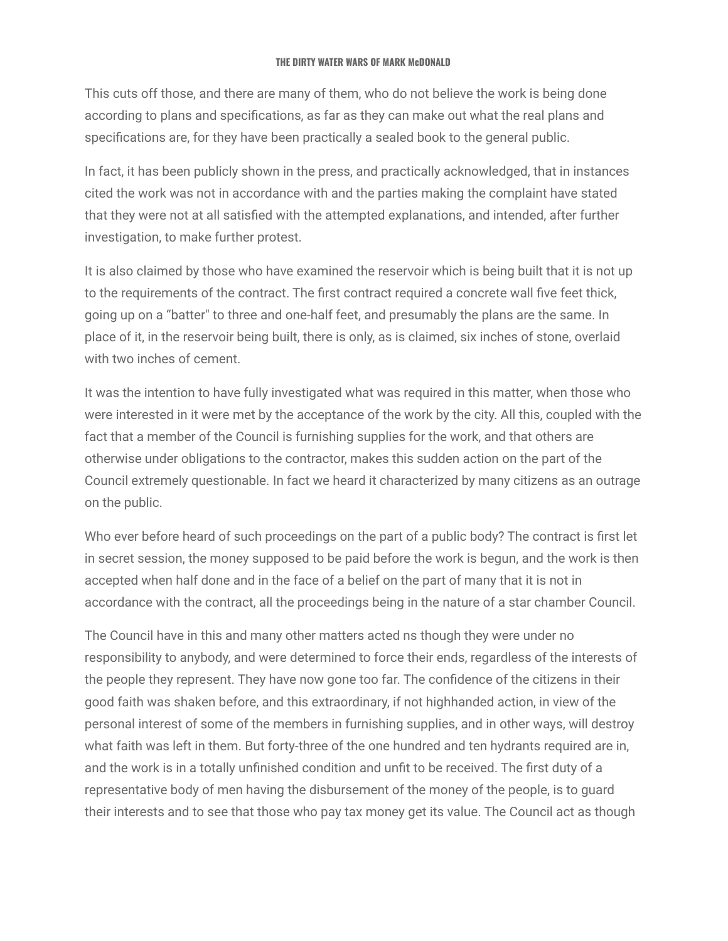This cuts off those, and there are many of them, who do not believe the work is being done according to plans and specifications, as far as they can make out what the real plans and specifications are, for they have been practically a sealed book to the general public.

In fact, it has been publicly shown in the press, and practically acknowledged, that in instances cited the work was not in accordance with and the parties making the complaint have stated that they were not at all satisfied with the attempted explanations, and intended, after further investigation, to make further protest.

It is also claimed by those who have examined the reservoir which is being built that it is not up to the requirements of the contract. The first contract required a concrete wall five feet thick, going up on a "batter" to three and one-half feet, and presumably the plans are the same. In place of it, in the reservoir being built, there is only, as is claimed, six inches of stone, overlaid with two inches of cement.

It was the intention to have fully investigated what was required in this matter, when those who were interested in it were met by the acceptance of the work by the city. All this, coupled with the fact that a member of the Council is furnishing supplies for the work, and that others are otherwise under obligations to the contractor, makes this sudden action on the part of the Council extremely questionable. In fact we heard it characterized by many citizens as an outrage on the public.

Who ever before heard of such proceedings on the part of a public body? The contract is first let in secret session, the money supposed to be paid before the work is begun, and the work is then accepted when half done and in the face of a belief on the part of many that it is not in accordance with the contract, all the proceedings being in the nature of a star chamber Council.

The Council have in this and many other matters acted ns though they were under no responsibility to anybody, and were determined to force their ends, regardless of the interests of the people they represent. They have now gone too far. The confidence of the citizens in their good faith was shaken before, and this extraordinary, if not highhanded action, in view of the personal interest of some of the members in furnishing supplies, and in other ways, will destroy what faith was left in them. But forty-three of the one hundred and ten hydrants required are in, and the work is in a totally unfinished condition and unfit to be received. The first duty of a representative body of men having the disbursement of the money of the people, is to guard their interests and to see that those who pay tax money get its value. The Council act as though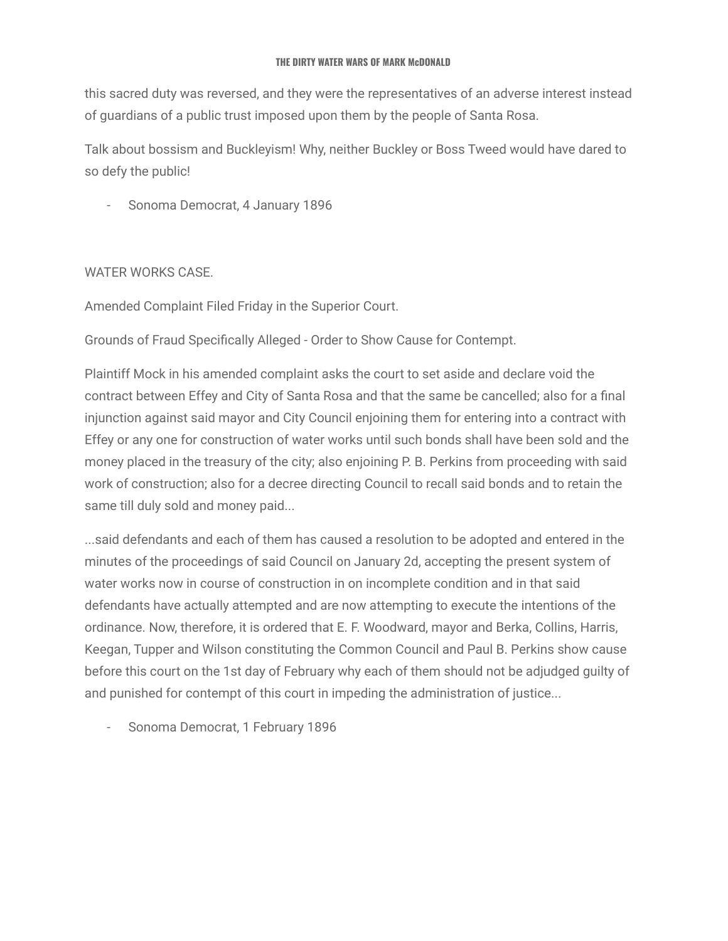this sacred duty was reversed, and they were the representatives of an adverse interest instead of guardians of a public trust imposed upon them by the people of Santa Rosa.

Talk about bossism and Buckleyism! Why, neither Buckley or Boss Tweed would have dared to so defy the public!

- Sonoma Democrat, 4 January 1896

### WATER WORKS CASE.

Amended Complaint Filed Friday in the Superior Court.

Grounds of Fraud Specifically Alleged - Order to Show Cause for Contempt.

Plaintiff Mock in his amended complaint asks the court to set aside and declare void the contract between Effey and City of Santa Rosa and that the same be cancelled; also for a final injunction against said mayor and City Council enjoining them for entering into a contract with Effey or any one for construction of water works until such bonds shall have been sold and the money placed in the treasury of the city; also enjoining P. B. Perkins from proceeding with said work of construction; also for a decree directing Council to recall said bonds and to retain the same till duly sold and money paid...

...said defendants and each of them has caused a resolution to be adopted and entered in the minutes of the proceedings of said Council on January 2d, accepting the present system of water works now in course of construction in on incomplete condition and in that said defendants have actually attempted and are now attempting to execute the intentions of the ordinance. Now, therefore, it is ordered that E. F. Woodward, mayor and Berka, Collins, Harris, Keegan, Tupper and Wilson constituting the Common Council and Paul B. Perkins show cause before this court on the 1st day of February why each of them should not be adjudged guilty of and punished for contempt of this court in impeding the administration of justice...

Sonoma Democrat, 1 February 1896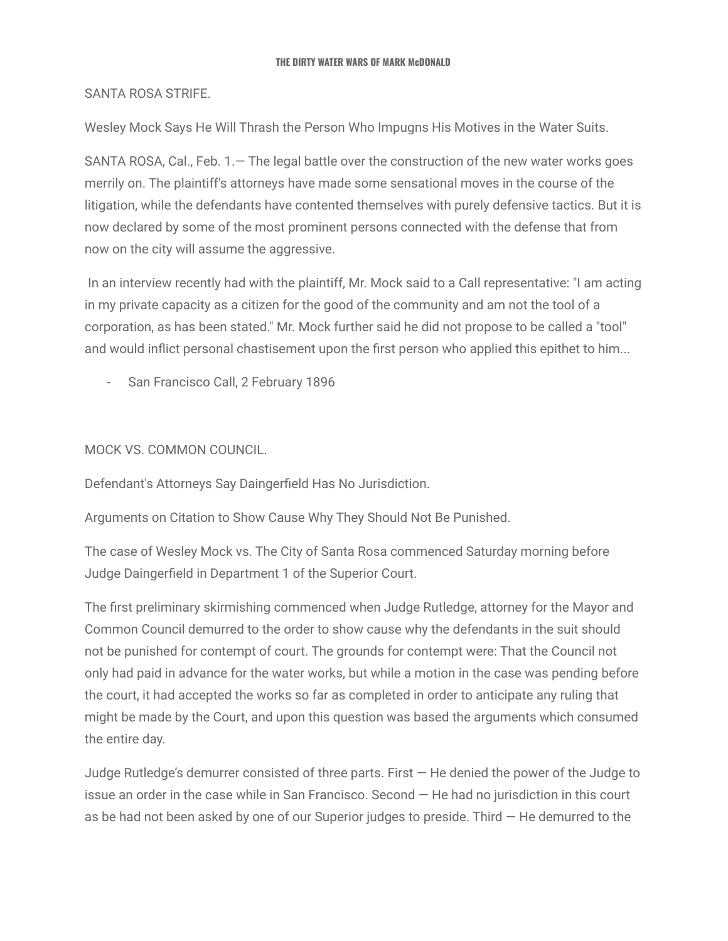### SANTA ROSA STRIFE.

Wesley Mock Says He Will Thrash the Person Who Impugns His Motives in the Water Suits.

SANTA ROSA, Cal., Feb. 1.— The legal battle over the construction of the new water works goes merrily on. The plaintiff's attorneys have made some sensational moves in the course of the litigation, while the defendants have contented themselves with purely defensive tactics. But it is now declared by some of the most prominent persons connected with the defense that from now on the city will assume the aggressive.

In an interview recently had with the plaintiff, Mr. Mock said to a Call representative: "I am acting in my private capacity as a citizen for the good of the community and am not the tool of a corporation, as has been stated." Mr. Mock further said he did not propose to be called a "tool" and would inflict personal chastisement upon the first person who applied this epithet to him...

San Francisco Call, 2 February 1896

### MOCK VS. COMMON COUNCIL.

Defendant's Attorneys Say Daingerfield Has No Jurisdiction.

Arguments on Citation to Show Cause Why They Should Not Be Punished.

The case of Wesley Mock vs. The City of Santa Rosa commenced Saturday morning before Judge Daingerfield in Department 1 of the Superior Court.

The first preliminary skirmishing commenced when Judge Rutledge, attorney for the Mayor and Common Council demurred to the order to show cause why the defendants in the suit should not be punished for contempt of court. The grounds for contempt were: That the Council not only had paid in advance for the water works, but while a motion in the case was pending before the court, it had accepted the works so far as completed in order to anticipate any ruling that might be made by the Court, and upon this question was based the arguments which consumed the entire day.

Judge Rutledge's demurrer consisted of three parts. First — He denied the power of the Judge to issue an order in the case while in San Francisco. Second — He had no jurisdiction in this court as be had not been asked by one of our Superior judges to preside. Third — He demurred to the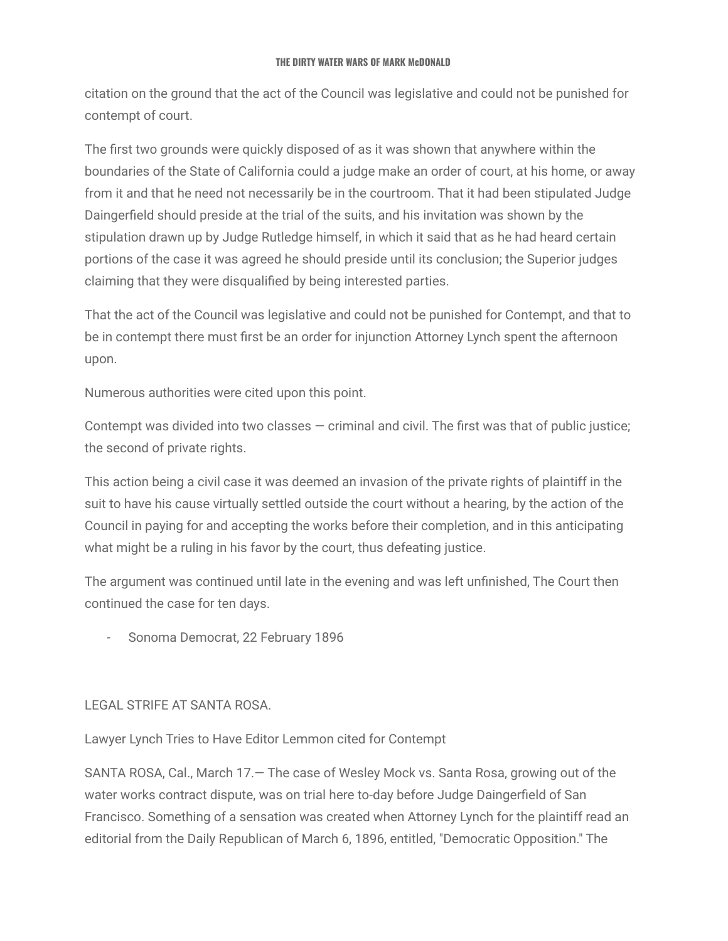citation on the ground that the act of the Council was legislative and could not be punished for contempt of court.

The first two grounds were quickly disposed of as it was shown that anywhere within the boundaries of the State of California could a judge make an order of court, at his home, or away from it and that he need not necessarily be in the courtroom. That it had been stipulated Judge Daingerfield should preside at the trial of the suits, and his invitation was shown by the stipulation drawn up by Judge Rutledge himself, in which it said that as he had heard certain portions of the case it was agreed he should preside until its conclusion; the Superior judges claiming that they were disqualified by being interested parties.

That the act of the Council was legislative and could not be punished for Contempt, and that to be in contempt there must first be an order for injunction Attorney Lynch spent the afternoon upon.

Numerous authorities were cited upon this point.

Contempt was divided into two classes  $-$  criminal and civil. The first was that of public justice; the second of private rights.

This action being a civil case it was deemed an invasion of the private rights of plaintiff in the suit to have his cause virtually settled outside the court without a hearing, by the action of the Council in paying for and accepting the works before their completion, and in this anticipating what might be a ruling in his favor by the court, thus defeating justice.

The argument was continued until late in the evening and was left unfinished, The Court then continued the case for ten days.

- Sonoma Democrat, 22 February 1896

### LEGAL STRIFE AT SANTA ROSA.

Lawyer Lynch Tries to Have Editor Lemmon cited for Contempt

SANTA ROSA, Cal., March 17.— The case of Wesley Mock vs. Santa Rosa, growing out of the water works contract dispute, was on trial here to-day before Judge Daingerfield of San Francisco. Something of a sensation was created when Attorney Lynch for the plaintiff read an editorial from the Daily Republican of March 6, 1896, entitled, "Democratic Opposition." The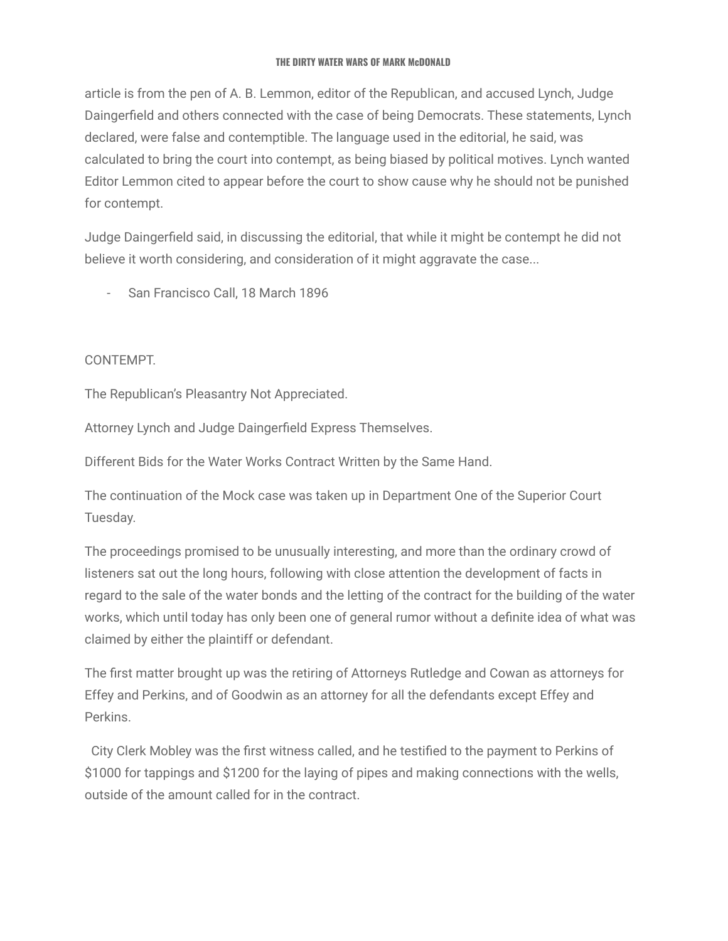article is from the pen of A. B. Lemmon, editor of the Republican, and accused Lynch, Judge Daingerfield and others connected with the case of being Democrats. These statements, Lynch declared, were false and contemptible. The language used in the editorial, he said, was calculated to bring the court into contempt, as being biased by political motives. Lynch wanted Editor Lemmon cited to appear before the court to show cause why he should not be punished for contempt.

Judge Daingerfield said, in discussing the editorial, that while it might be contempt he did not believe it worth considering, and consideration of it might aggravate the case...

- San Francisco Call, 18 March 1896

# CONTEMPT.

The Republican's Pleasantry Not Appreciated.

Attorney Lynch and Judge Daingerfield Express Themselves.

Different Bids for the Water Works Contract Written by the Same Hand.

The continuation of the Mock case was taken up in Department One of the Superior Court Tuesday.

The proceedings promised to be unusually interesting, and more than the ordinary crowd of listeners sat out the long hours, following with close attention the development of facts in regard to the sale of the water bonds and the letting of the contract for the building of the water works, which until today has only been one of general rumor without a definite idea of what was claimed by either the plaintiff or defendant.

The first matter brought up was the retiring of Attorneys Rutledge and Cowan as attorneys for Effey and Perkins, and of Goodwin as an attorney for all the defendants except Effey and Perkins.

City Clerk Mobley was the first witness called, and he testified to the payment to Perkins of \$1000 for tappings and \$1200 for the laying of pipes and making connections with the wells, outside of the amount called for in the contract.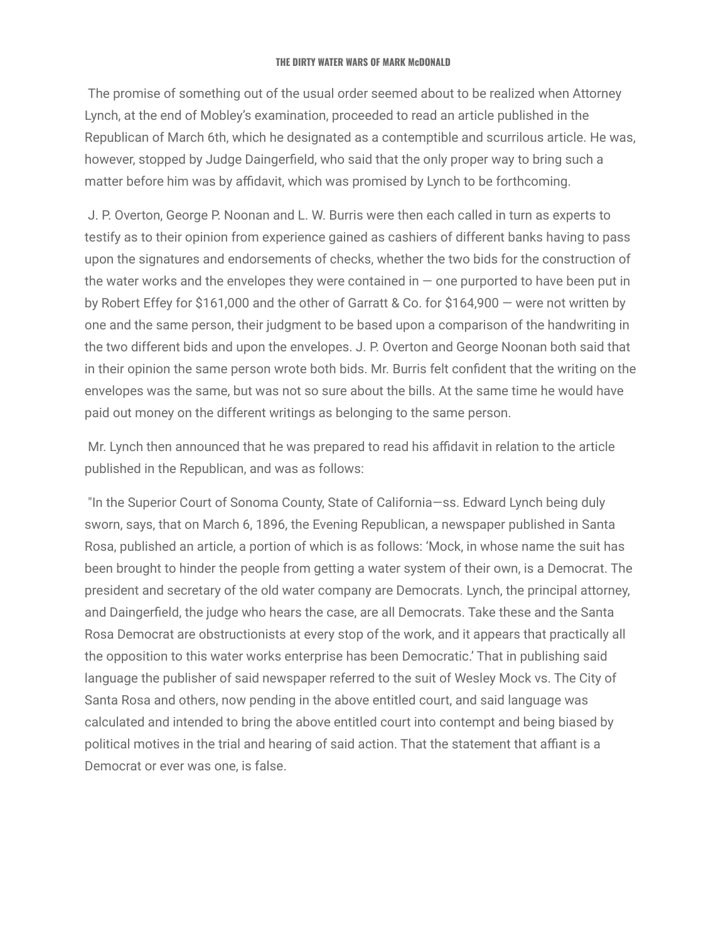The promise of something out of the usual order seemed about to be realized when Attorney Lynch, at the end of Mobley's examination, proceeded to read an article published in the Republican of March 6th, which he designated as a contemptible and scurrilous article. He was, however, stopped by Judge Daingerfield, who said that the only proper way to bring such a matter before him was by affidavit, which was promised by Lynch to be forthcoming.

J. P. Overton, George P. Noonan and L. W. Burris were then each called in turn as experts to testify as to their opinion from experience gained as cashiers of different banks having to pass upon the signatures and endorsements of checks, whether the two bids for the construction of the water works and the envelopes they were contained in  $-$  one purported to have been put in by Robert Effey for \$161,000 and the other of Garratt & Co. for \$164,900 — were not written by one and the same person, their judgment to be based upon a comparison of the handwriting in the two different bids and upon the envelopes. J. P. Overton and George Noonan both said that in their opinion the same person wrote both bids. Mr. Burris felt confident that the writing on the envelopes was the same, but was not so sure about the bills. At the same time he would have paid out money on the different writings as belonging to the same person.

Mr. Lynch then announced that he was prepared to read his affidavit in relation to the article published in the Republican, and was as follows:

"In the Superior Court of Sonoma County, State of California—ss. Edward Lynch being duly sworn, says, that on March 6, 1896, the Evening Republican, a newspaper published in Santa Rosa, published an article, a portion of which is as follows: 'Mock, in whose name the suit has been brought to hinder the people from getting a water system of their own, is a Democrat. The president and secretary of the old water company are Democrats. Lynch, the principal attorney, and Daingerfield, the judge who hears the case, are all Democrats. Take these and the Santa Rosa Democrat are obstructionists at every stop of the work, and it appears that practically all the opposition to this water works enterprise has been Democratic.' That in publishing said language the publisher of said newspaper referred to the suit of Wesley Mock vs. The City of Santa Rosa and others, now pending in the above entitled court, and said language was calculated and intended to bring the above entitled court into contempt and being biased by political motives in the trial and hearing of said action. That the statement that affiant is a Democrat or ever was one, is false.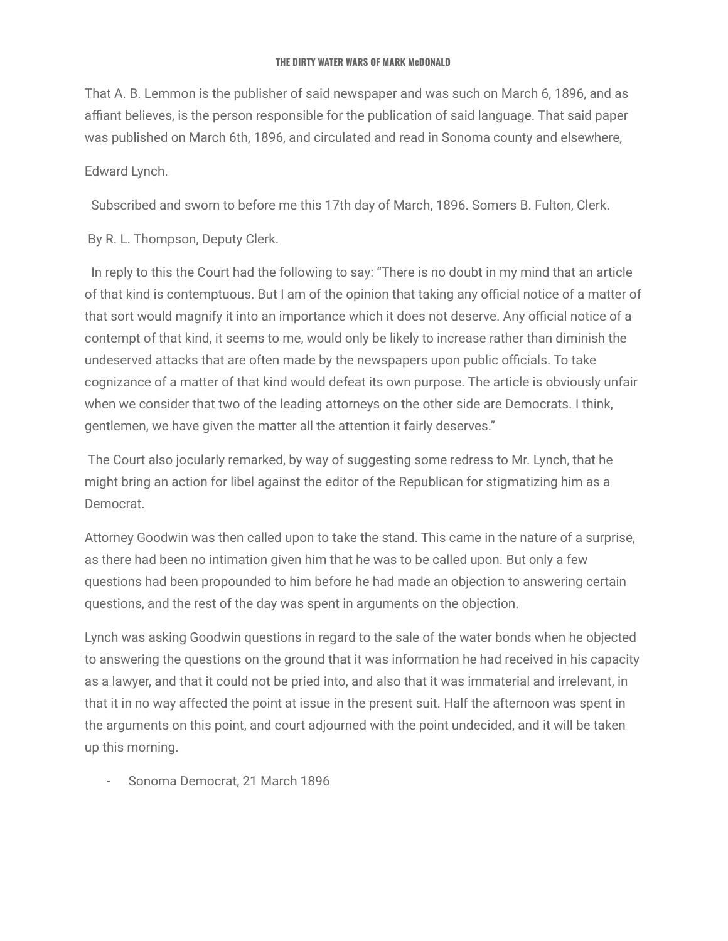That A. B. Lemmon is the publisher of said newspaper and was such on March 6, 1896, and as affiant believes, is the person responsible for the publication of said language. That said paper was published on March 6th, 1896, and circulated and read in Sonoma county and elsewhere,

### Edward Lynch.

Subscribed and sworn to before me this 17th day of March, 1896. Somers B. Fulton, Clerk.

By R. L. Thompson, Deputy Clerk.

In reply to this the Court had the following to say: "There is no doubt in my mind that an article of that kind is contemptuous. But I am of the opinion that taking any official notice of a matter of that sort would magnify it into an importance which it does not deserve. Any official notice of a contempt of that kind, it seems to me, would only be likely to increase rather than diminish the undeserved attacks that are often made by the newspapers upon public officials. To take cognizance of a matter of that kind would defeat its own purpose. The article is obviously unfair when we consider that two of the leading attorneys on the other side are Democrats. I think, gentlemen, we have given the matter all the attention it fairly deserves."

The Court also jocularly remarked, by way of suggesting some redress to Mr. Lynch, that he might bring an action for libel against the editor of the Republican for stigmatizing him as a Democrat.

Attorney Goodwin was then called upon to take the stand. This came in the nature of a surprise, as there had been no intimation given him that he was to be called upon. But only a few questions had been propounded to him before he had made an objection to answering certain questions, and the rest of the day was spent in arguments on the objection.

Lynch was asking Goodwin questions in regard to the sale of the water bonds when he objected to answering the questions on the ground that it was information he had received in his capacity as a lawyer, and that it could not be pried into, and also that it was immaterial and irrelevant, in that it in no way affected the point at issue in the present suit. Half the afternoon was spent in the arguments on this point, and court adjourned with the point undecided, and it will be taken up this morning.

- Sonoma Democrat, 21 March 1896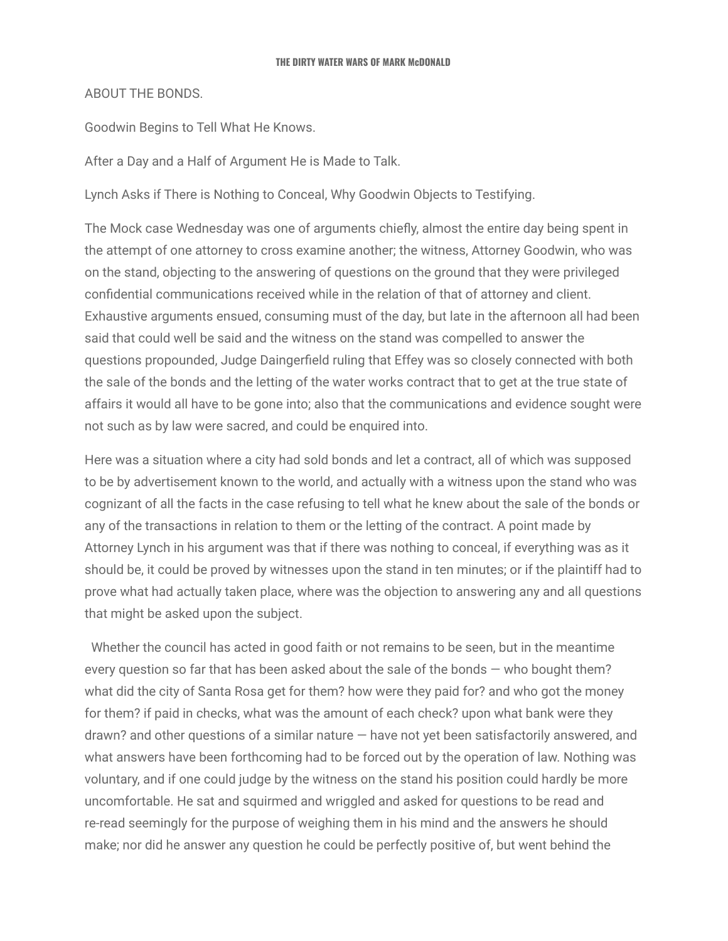### ABOUT THE BONDS.

Goodwin Begins to Tell What He Knows.

After a Day and a Half of Argument He is Made to Talk.

Lynch Asks if There is Nothing to Conceal, Why Goodwin Objects to Testifying.

The Mock case Wednesday was one of arguments chiefly, almost the entire day being spent in the attempt of one attorney to cross examine another; the witness, Attorney Goodwin, who was on the stand, objecting to the answering of questions on the ground that they were privileged confidential communications received while in the relation of that of attorney and client. Exhaustive arguments ensued, consuming must of the day, but late in the afternoon all had been said that could well be said and the witness on the stand was compelled to answer the questions propounded, Judge Daingerfield ruling that Effey was so closely connected with both the sale of the bonds and the letting of the water works contract that to get at the true state of affairs it would all have to be gone into; also that the communications and evidence sought were not such as by law were sacred, and could be enquired into.

Here was a situation where a city had sold bonds and let a contract, all of which was supposed to be by advertisement known to the world, and actually with a witness upon the stand who was cognizant of all the facts in the case refusing to tell what he knew about the sale of the bonds or any of the transactions in relation to them or the letting of the contract. A point made by Attorney Lynch in his argument was that if there was nothing to conceal, if everything was as it should be, it could be proved by witnesses upon the stand in ten minutes; or if the plaintiff had to prove what had actually taken place, where was the objection to answering any and all questions that might be asked upon the subject.

Whether the council has acted in good faith or not remains to be seen, but in the meantime every question so far that has been asked about the sale of the bonds — who bought them? what did the city of Santa Rosa get for them? how were they paid for? and who got the money for them? if paid in checks, what was the amount of each check? upon what bank were they drawn? and other questions of a similar nature — have not yet been satisfactorily answered, and what answers have been forthcoming had to be forced out by the operation of law. Nothing was voluntary, and if one could judge by the witness on the stand his position could hardly be more uncomfortable. He sat and squirmed and wriggled and asked for questions to be read and re-read seemingly for the purpose of weighing them in his mind and the answers he should make; nor did he answer any question he could be perfectly positive of, but went behind the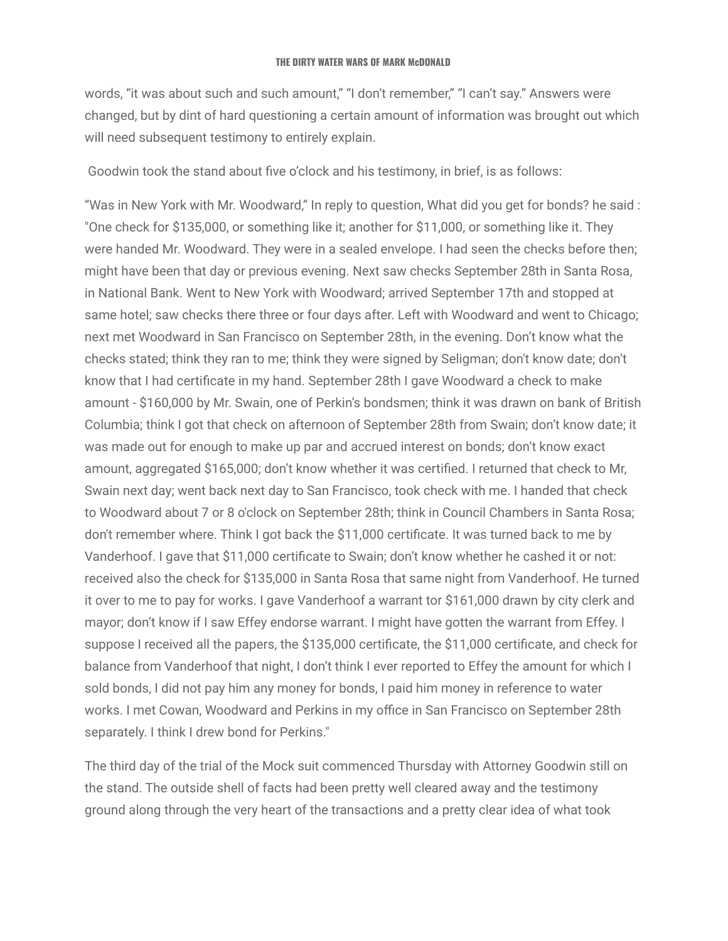words, "it was about such and such amount," "I don't remember," "I can't say." Answers were changed, but by dint of hard questioning a certain amount of information was brought out which will need subsequent testimony to entirely explain.

Goodwin took the stand about five o'clock and his testimony, in brief, is as follows:

"Was in New York with Mr. Woodward," In reply to question, What did you get for bonds? he said : "One check for \$135,000, or something like it; another for \$11,000, or something like it. They were handed Mr. Woodward. They were in a sealed envelope. I had seen the checks before then; might have been that day or previous evening. Next saw checks September 28th in Santa Rosa, in National Bank. Went to New York with Woodward; arrived September 17th and stopped at same hotel; saw checks there three or four days after. Left with Woodward and went to Chicago; next met Woodward in San Francisco on September 28th, in the evening. Don't know what the checks stated; think they ran to me; think they were signed by Seligman; don't know date; don't know that I had certificate in my hand. September 28th I gave Woodward a check to make amount - \$160,000 by Mr. Swain, one of Perkin's bondsmen; think it was drawn on bank of British Columbia; think I got that check on afternoon of September 28th from Swain; don't know date; it was made out for enough to make up par and accrued interest on bonds; don't know exact amount, aggregated \$165,000; don't know whether it was certified. I returned that check to Mr, Swain next day; went back next day to San Francisco, took check with me. I handed that check to Woodward about 7 or 8 o'clock on September 28th; think in Council Chambers in Santa Rosa; don't remember where. Think I got back the \$11,000 certificate. It was turned back to me by Vanderhoof. I gave that \$11,000 certificate to Swain; don't know whether he cashed it or not: received also the check for \$135,000 in Santa Rosa that same night from Vanderhoof. He turned it over to me to pay for works. I gave Vanderhoof a warrant tor \$161,000 drawn by city clerk and mayor; don't know if I saw Effey endorse warrant. I might have gotten the warrant from Effey. I suppose I received all the papers, the \$135,000 certificate, the \$11,000 certificate, and check for balance from Vanderhoof that night, I don't think I ever reported to Effey the amount for which I sold bonds, I did not pay him any money for bonds, I paid him money in reference to water works. I met Cowan, Woodward and Perkins in my office in San Francisco on September 28th separately. I think I drew bond for Perkins."

The third day of the trial of the Mock suit commenced Thursday with Attorney Goodwin still on the stand. The outside shell of facts had been pretty well cleared away and the testimony ground along through the very heart of the transactions and a pretty clear idea of what took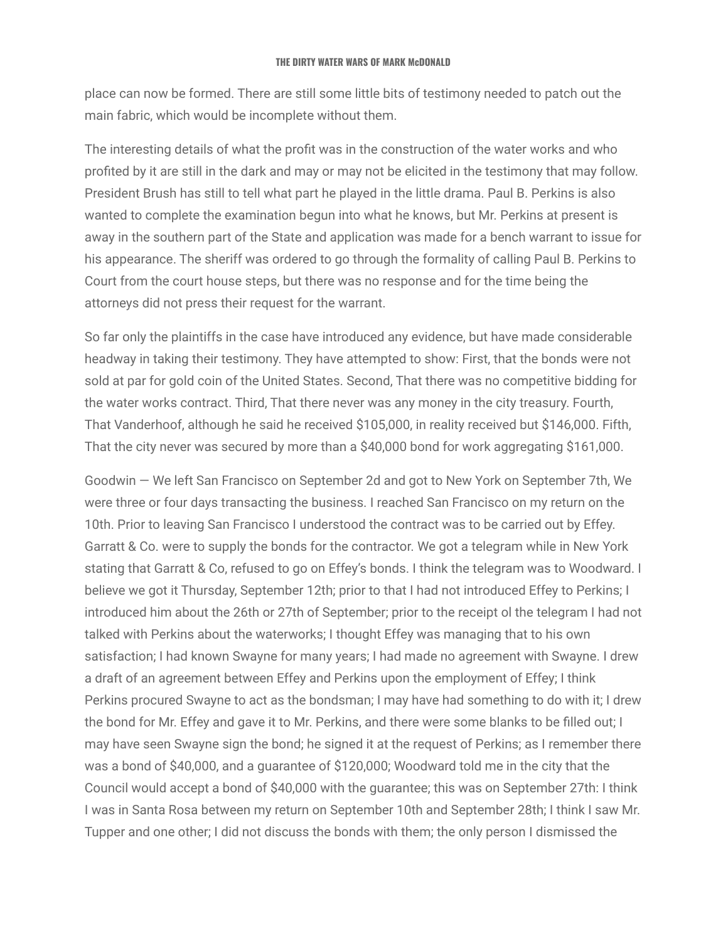place can now be formed. There are still some little bits of testimony needed to patch out the main fabric, which would be incomplete without them.

The interesting details of what the profit was in the construction of the water works and who profited by it are still in the dark and may or may not be elicited in the testimony that may follow. President Brush has still to tell what part he played in the little drama. Paul B. Perkins is also wanted to complete the examination begun into what he knows, but Mr. Perkins at present is away in the southern part of the State and application was made for a bench warrant to issue for his appearance. The sheriff was ordered to go through the formality of calling Paul B. Perkins to Court from the court house steps, but there was no response and for the time being the attorneys did not press their request for the warrant.

So far only the plaintiffs in the case have introduced any evidence, but have made considerable headway in taking their testimony. They have attempted to show: First, that the bonds were not sold at par for gold coin of the United States. Second, That there was no competitive bidding for the water works contract. Third, That there never was any money in the city treasury. Fourth, That Vanderhoof, although he said he received \$105,000, in reality received but \$146,000. Fifth, That the city never was secured by more than a \$40,000 bond for work aggregating \$161,000.

Goodwin — We left San Francisco on September 2d and got to New York on September 7th, We were three or four days transacting the business. I reached San Francisco on my return on the 10th. Prior to leaving San Francisco I understood the contract was to be carried out by Effey. Garratt & Co. were to supply the bonds for the contractor. We got a telegram while in New York stating that Garratt & Co, refused to go on Effey's bonds. I think the telegram was to Woodward. I believe we got it Thursday, September 12th; prior to that I had not introduced Effey to Perkins; I introduced him about the 26th or 27th of September; prior to the receipt ol the telegram I had not talked with Perkins about the waterworks; I thought Effey was managing that to his own satisfaction; I had known Swayne for many years; I had made no agreement with Swayne. I drew a draft of an agreement between Effey and Perkins upon the employment of Effey; I think Perkins procured Swayne to act as the bondsman; I may have had something to do with it; I drew the bond for Mr. Effey and gave it to Mr. Perkins, and there were some blanks to be filled out; I may have seen Swayne sign the bond; he signed it at the request of Perkins; as I remember there was a bond of \$40,000, and a guarantee of \$120,000; Woodward told me in the city that the Council would accept a bond of \$40,000 with the guarantee; this was on September 27th: I think I was in Santa Rosa between my return on September 10th and September 28th; I think I saw Mr. Tupper and one other; I did not discuss the bonds with them; the only person I dismissed the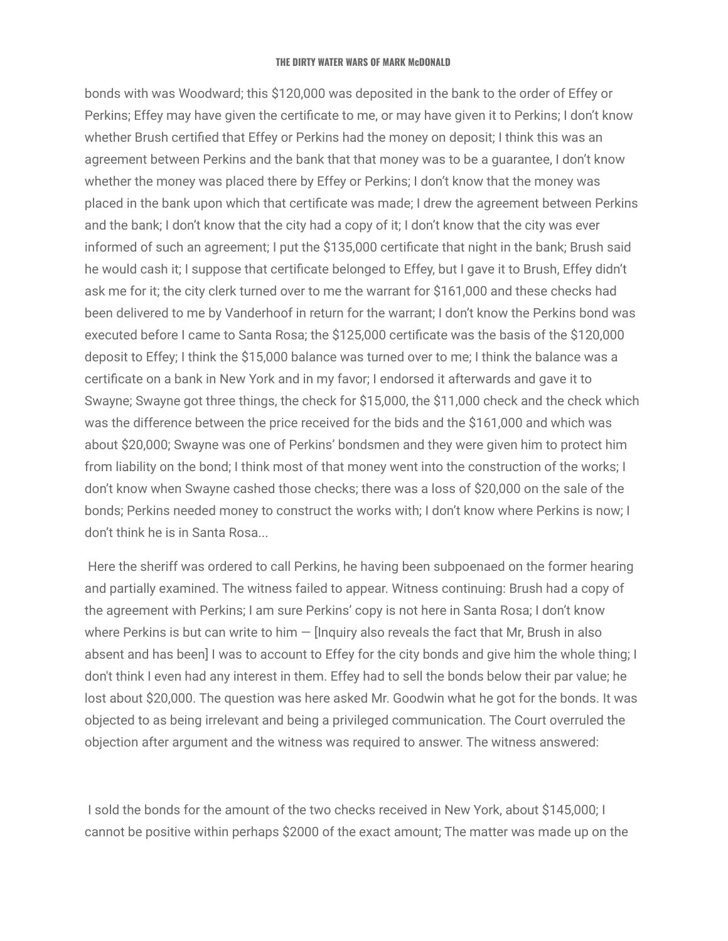bonds with was Woodward; this \$120,000 was deposited in the bank to the order of Effey or Perkins; Effey may have given the certificate to me, or may have given it to Perkins; I don't know whether Brush certified that Effey or Perkins had the money on deposit; I think this was an agreement between Perkins and the bank that that money was to be a guarantee, I don't know whether the money was placed there by Effey or Perkins; I don't know that the money was placed in the bank upon which that certificate was made; I drew the agreement between Perkins and the bank; I don't know that the city had a copy of it; I don't know that the city was ever informed of such an agreement; I put the \$135,000 certificate that night in the bank; Brush said he would cash it; I suppose that certificate belonged to Effey, but I gave it to Brush, Effey didn't ask me for it; the city clerk turned over to me the warrant for \$161,000 and these checks had been delivered to me by Vanderhoof in return for the warrant; I don't know the Perkins bond was executed before I came to Santa Rosa; the \$125,000 certificate was the basis of the \$120,000 deposit to Effey; I think the \$15,000 balance was turned over to me; I think the balance was a certificate on a bank in New York and in my favor; I endorsed it afterwards and gave it to Swayne; Swayne got three things, the check for \$15,000, the \$11,000 check and the check which was the difference between the price received for the bids and the \$161,000 and which was about \$20,000; Swayne was one of Perkins' bondsmen and they were given him to protect him from liability on the bond; I think most of that money went into the construction of the works; I don't know when Swayne cashed those checks; there was a loss of \$20,000 on the sale of the bonds; Perkins needed money to construct the works with; I don't know where Perkins is now; I don't think he is in Santa Rosa...

Here the sheriff was ordered to call Perkins, he having been subpoenaed on the former hearing and partially examined. The witness failed to appear. Witness continuing: Brush had a copy of the agreement with Perkins; I am sure Perkins' copy is not here in Santa Rosa; I don't know where Perkins is but can write to him  $-$  [Inquiry also reveals the fact that Mr, Brush in also absent and has been] I was to account to Effey for the city bonds and give him the whole thing; I don't think I even had any interest in them. Effey had to sell the bonds below their par value; he lost about \$20,000. The question was here asked Mr. Goodwin what he got for the bonds. It was objected to as being irrelevant and being a privileged communication. The Court overruled the objection after argument and the witness was required to answer. The witness answered:

I sold the bonds for the amount of the two checks received in New York, about \$145,000; I cannot be positive within perhaps \$2000 of the exact amount; The matter was made up on the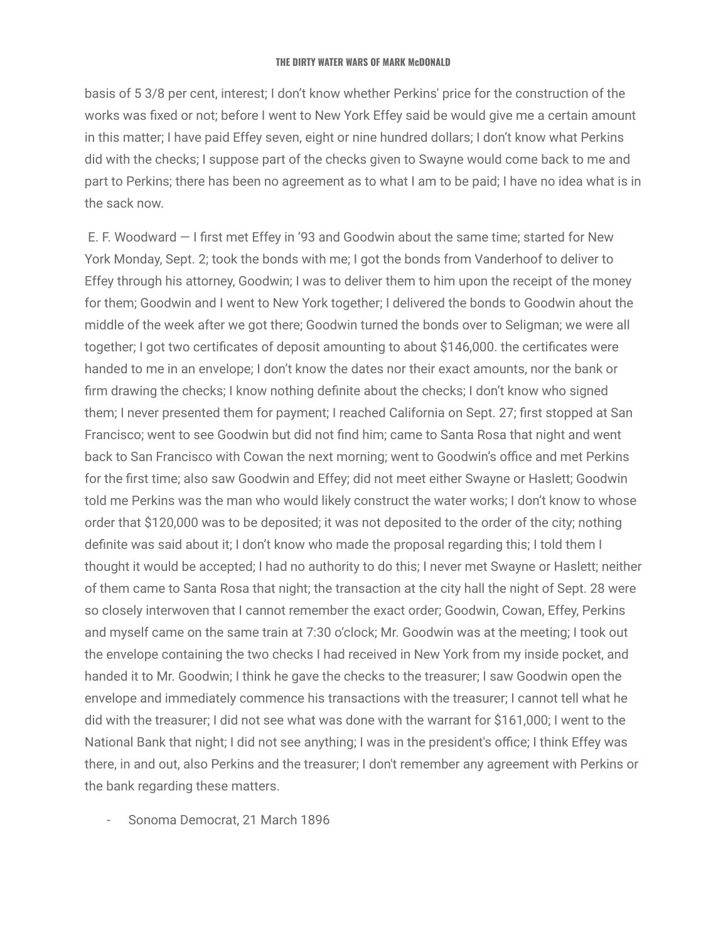basis of 5 3/8 per cent, interest; I don't know whether Perkins' price for the construction of the works was fixed or not; before I went to New York Effey said be would give me a certain amount in this matter; I have paid Effey seven, eight or nine hundred dollars; I don't know what Perkins did with the checks; I suppose part of the checks given to Swayne would come back to me and part to Perkins; there has been no agreement as to what I am to be paid; I have no idea what is in the sack now.

E. F. Woodward — I first met Effey in '93 and Goodwin about the same time; started for New York Monday, Sept. 2; took the bonds with me; I got the bonds from Vanderhoof to deliver to Effey through his attorney, Goodwin; I was to deliver them to him upon the receipt of the money for them; Goodwin and I went to New York together; I delivered the bonds to Goodwin ahout the middle of the week after we got there; Goodwin turned the bonds over to Seligman; we were all together; I got two certificates of deposit amounting to about \$146,000. the certificates were handed to me in an envelope; I don't know the dates nor their exact amounts, nor the bank or firm drawing the checks; I know nothing definite about the checks; I don't know who signed them; I never presented them for payment; I reached California on Sept. 27; first stopped at San Francisco; went to see Goodwin but did not find him; came to Santa Rosa that night and went back to San Francisco with Cowan the next morning; went to Goodwin's office and met Perkins for the first time; also saw Goodwin and Effey; did not meet either Swayne or Haslett; Goodwin told me Perkins was the man who would likely construct the water works; I don't know to whose order that \$120,000 was to be deposited; it was not deposited to the order of the city; nothing definite was said about it; I don't know who made the proposal regarding this; I told them I thought it would be accepted; I had no authority to do this; I never met Swayne or Haslett; neither of them came to Santa Rosa that night; the transaction at the city hall the night of Sept. 28 were so closely interwoven that I cannot remember the exact order; Goodwin, Cowan, Effey, Perkins and myself came on the same train at 7:30 o'clock; Mr. Goodwin was at the meeting; I took out the envelope containing the two checks I had received in New York from my inside pocket, and handed it to Mr. Goodwin; I think he gave the checks to the treasurer; I saw Goodwin open the envelope and immediately commence his transactions with the treasurer; I cannot tell what he did with the treasurer; I did not see what was done with the warrant for \$161,000; I went to the National Bank that night; I did not see anything; I was in the president's office; I think Effey was there, in and out, also Perkins and the treasurer; I don't remember any agreement with Perkins or the bank regarding these matters.

- Sonoma Democrat, 21 March 1896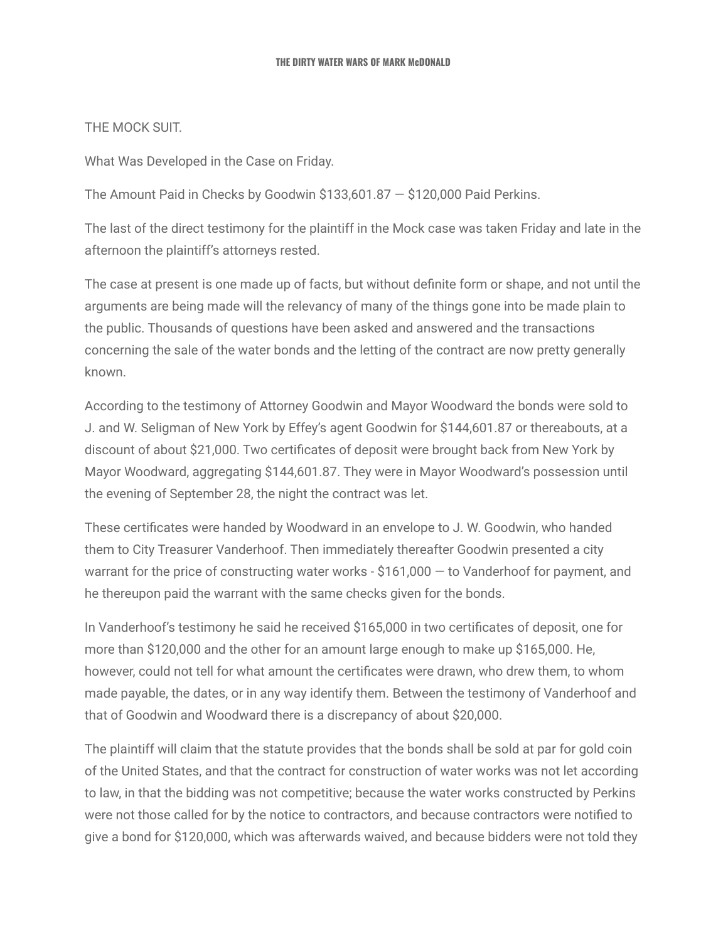### THE MOCK SUIT.

What Was Developed in the Case on Friday.

The Amount Paid in Checks by Goodwin \$133,601.87 — \$120,000 Paid Perkins.

The last of the direct testimony for the plaintiff in the Mock case was taken Friday and late in the afternoon the plaintiff's attorneys rested.

The case at present is one made up of facts, but without definite form or shape, and not until the arguments are being made will the relevancy of many of the things gone into be made plain to the public. Thousands of questions have been asked and answered and the transactions concerning the sale of the water bonds and the letting of the contract are now pretty generally known.

According to the testimony of Attorney Goodwin and Mayor Woodward the bonds were sold to J. and W. Seligman of New York by Effey's agent Goodwin for \$144,601.87 or thereabouts, at a discount of about \$21,000. Two certificates of deposit were brought back from New York by Mayor Woodward, aggregating \$144,601.87. They were in Mayor Woodward's possession until the evening of September 28, the night the contract was let.

These certificates were handed by Woodward in an envelope to J. W. Goodwin, who handed them to City Treasurer Vanderhoof. Then immediately thereafter Goodwin presented a city warrant for the price of constructing water works - \$161,000 — to Vanderhoof for payment, and he thereupon paid the warrant with the same checks given for the bonds.

In Vanderhoof's testimony he said he received \$165,000 in two certificates of deposit, one for more than \$120,000 and the other for an amount large enough to make up \$165,000. He, however, could not tell for what amount the certificates were drawn, who drew them, to whom made payable, the dates, or in any way identify them. Between the testimony of Vanderhoof and that of Goodwin and Woodward there is a discrepancy of about \$20,000.

The plaintiff will claim that the statute provides that the bonds shall be sold at par for gold coin of the United States, and that the contract for construction of water works was not let according to law, in that the bidding was not competitive; because the water works constructed by Perkins were not those called for by the notice to contractors, and because contractors were notified to give a bond for \$120,000, which was afterwards waived, and because bidders were not told they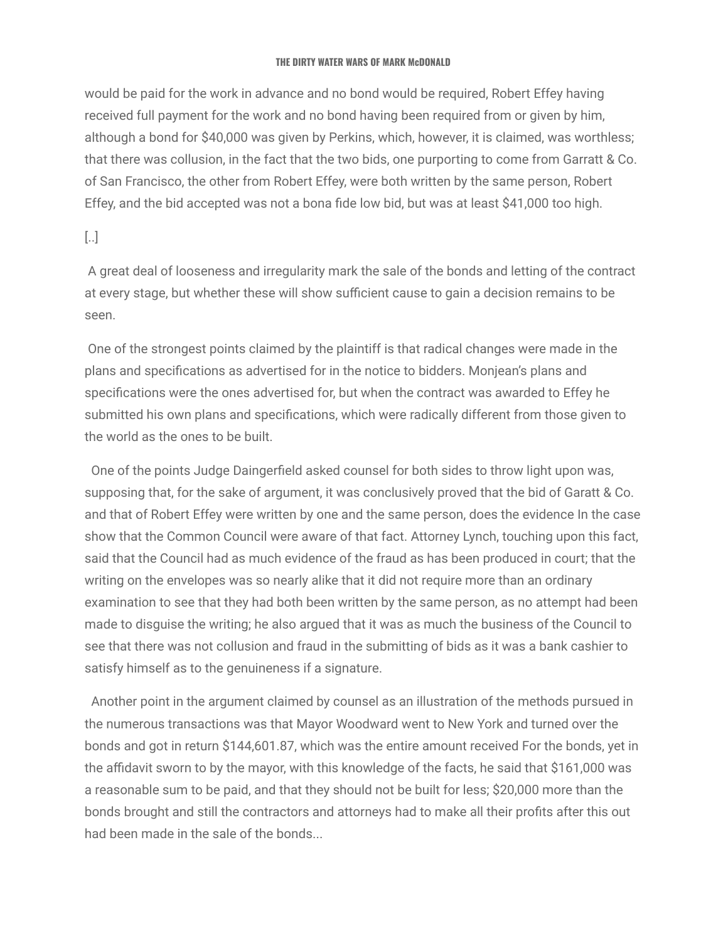would be paid for the work in advance and no bond would be required, Robert Effey having received full payment for the work and no bond having been required from or given by him, although a bond for \$40,000 was given by Perkins, which, however, it is claimed, was worthless; that there was collusion, in the fact that the two bids, one purporting to come from Garratt & Co. of San Francisco, the other from Robert Effey, were both written by the same person, Robert Effey, and the bid accepted was not a bona fide low bid, but was at least \$41,000 too high.

# [..]

A great deal of looseness and irregularity mark the sale of the bonds and letting of the contract at every stage, but whether these will show sufficient cause to gain a decision remains to be seen.

One of the strongest points claimed by the plaintiff is that radical changes were made in the plans and specifications as advertised for in the notice to bidders. Monjean's plans and specifications were the ones advertised for, but when the contract was awarded to Effey he submitted his own plans and specifications, which were radically different from those given to the world as the ones to be built.

One of the points Judge Daingerfield asked counsel for both sides to throw light upon was, supposing that, for the sake of argument, it was conclusively proved that the bid of Garatt & Co. and that of Robert Effey were written by one and the same person, does the evidence In the case show that the Common Council were aware of that fact. Attorney Lynch, touching upon this fact, said that the Council had as much evidence of the fraud as has been produced in court; that the writing on the envelopes was so nearly alike that it did not require more than an ordinary examination to see that they had both been written by the same person, as no attempt had been made to disguise the writing; he also argued that it was as much the business of the Council to see that there was not collusion and fraud in the submitting of bids as it was a bank cashier to satisfy himself as to the genuineness if a signature.

Another point in the argument claimed by counsel as an illustration of the methods pursued in the numerous transactions was that Mayor Woodward went to New York and turned over the bonds and got in return \$144,601.87, which was the entire amount received For the bonds, yet in the affidavit sworn to by the mayor, with this knowledge of the facts, he said that \$161,000 was a reasonable sum to be paid, and that they should not be built for less; \$20,000 more than the bonds brought and still the contractors and attorneys had to make all their profits after this out had been made in the sale of the bonds...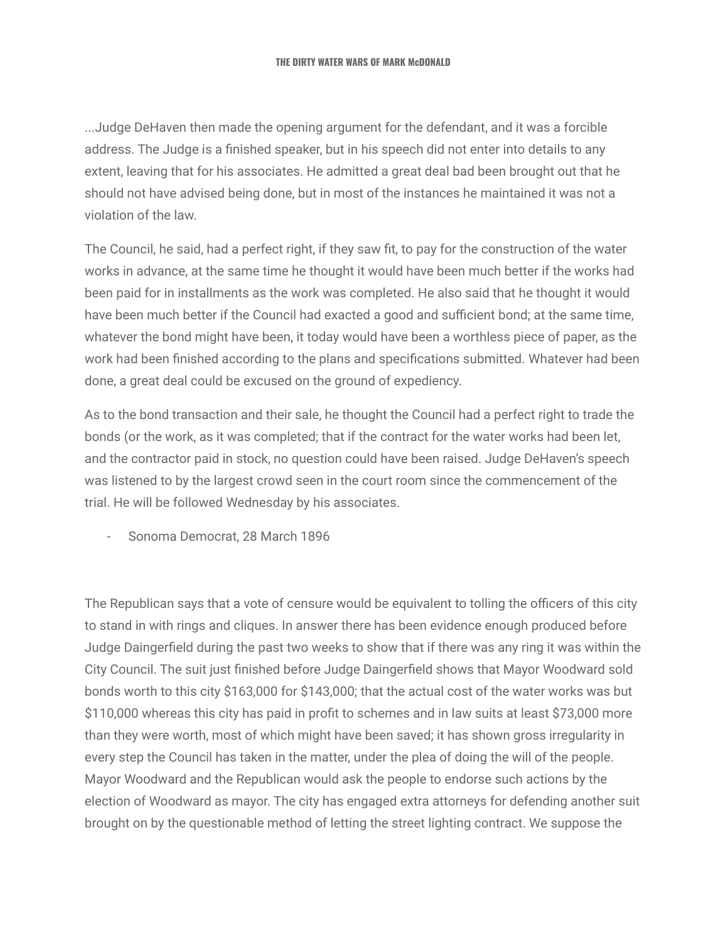...Judge DeHaven then made the opening argument for the defendant, and it was a forcible address. The Judge is a finished speaker, but in his speech did not enter into details to any extent, leaving that for his associates. He admitted a great deal bad been brought out that he should not have advised being done, but in most of the instances he maintained it was not a violation of the law.

The Council, he said, had a perfect right, if they saw fit, to pay for the construction of the water works in advance, at the same time he thought it would have been much better if the works had been paid for in installments as the work was completed. He also said that he thought it would have been much better if the Council had exacted a good and sufficient bond; at the same time, whatever the bond might have been, it today would have been a worthless piece of paper, as the work had been finished according to the plans and specifications submitted. Whatever had been done, a great deal could be excused on the ground of expediency.

As to the bond transaction and their sale, he thought the Council had a perfect right to trade the bonds (or the work, as it was completed; that if the contract for the water works had been let, and the contractor paid in stock, no question could have been raised. Judge DeHaven's speech was listened to by the largest crowd seen in the court room since the commencement of the trial. He will be followed Wednesday by his associates.

- Sonoma Democrat, 28 March 1896

The Republican says that a vote of censure would be equivalent to tolling the officers of this city to stand in with rings and cliques. In answer there has been evidence enough produced before Judge Daingerfield during the past two weeks to show that if there was any ring it was within the City Council. The suit just finished before Judge Daingerfield shows that Mayor Woodward sold bonds worth to this city \$163,000 for \$143,000; that the actual cost of the water works was but \$110,000 whereas this city has paid in profit to schemes and in law suits at least \$73,000 more than they were worth, most of which might have been saved; it has shown gross irregularity in every step the Council has taken in the matter, under the plea of doing the will of the people. Mayor Woodward and the Republican would ask the people to endorse such actions by the election of Woodward as mayor. The city has engaged extra attorneys for defending another suit brought on by the questionable method of letting the street lighting contract. We suppose the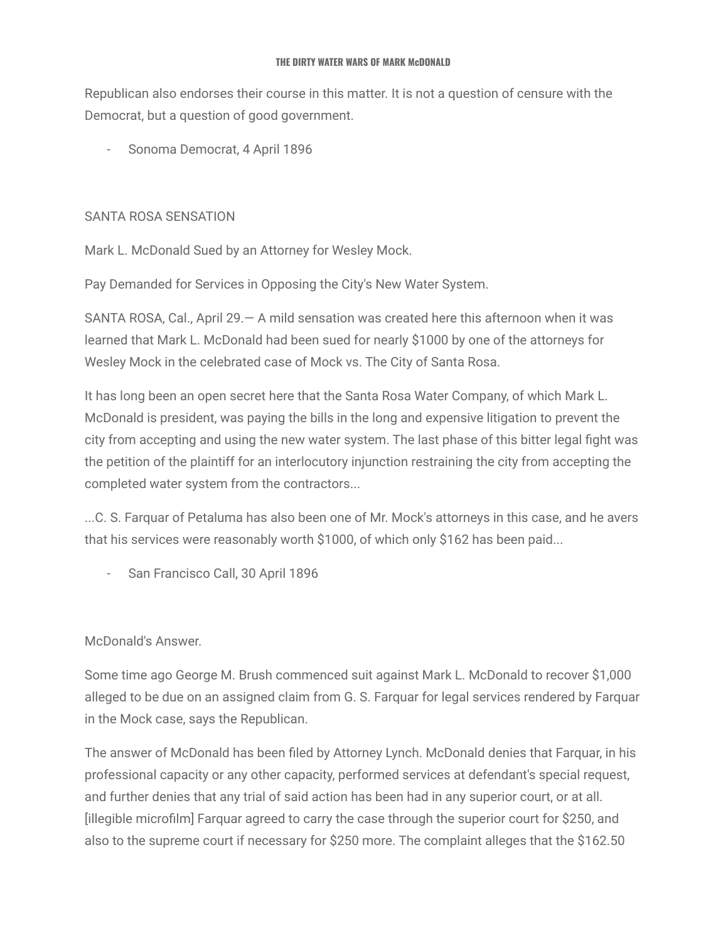Republican also endorses their course in this matter. It is not a question of censure with the Democrat, but a question of good government.

Sonoma Democrat, 4 April 1896

# SANTA ROSA SENSATION

Mark L. McDonald Sued by an Attorney for Wesley Mock.

Pay Demanded for Services in Opposing the City's New Water System.

SANTA ROSA, Cal., April 29.— A mild sensation was created here this afternoon when it was learned that Mark L. McDonald had been sued for nearly \$1000 by one of the attorneys for Wesley Mock in the celebrated case of Mock vs. The City of Santa Rosa.

It has long been an open secret here that the Santa Rosa Water Company, of which Mark L. McDonald is president, was paying the bills in the long and expensive litigation to prevent the city from accepting and using the new water system. The last phase of this bitter legal fight was the petition of the plaintiff for an interlocutory injunction restraining the city from accepting the completed water system from the contractors...

...C. S. Farquar of Petaluma has also been one of Mr. Mock's attorneys in this case, and he avers that his services were reasonably worth \$1000, of which only \$162 has been paid...

- San Francisco Call, 30 April 1896

# McDonald's Answer.

Some time ago George M. Brush commenced suit against Mark L. McDonald to recover \$1,000 alleged to be due on an assigned claim from G. S. Farquar for legal services rendered by Farquar in the Mock case, says the Republican.

The answer of McDonald has been filed by Attorney Lynch. McDonald denies that Farquar, in his professional capacity or any other capacity, performed services at defendant's special request, and further denies that any trial of said action has been had in any superior court, or at all. [illegible microfilm] Farquar agreed to carry the case through the superior court for \$250, and also to the supreme court if necessary for \$250 more. The complaint alleges that the \$162.50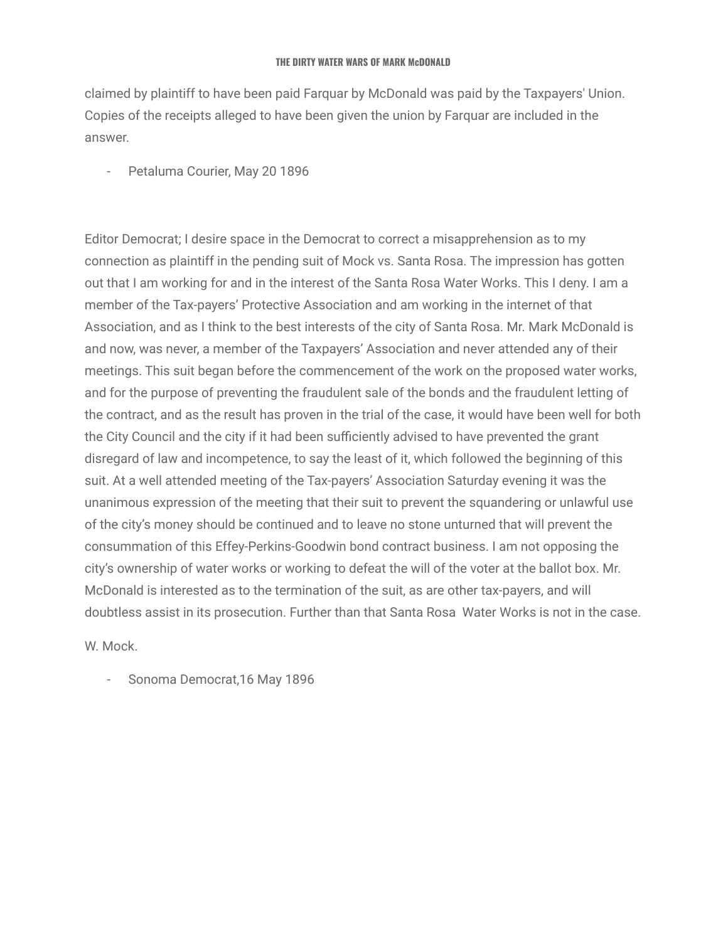claimed by plaintiff to have been paid Farquar by McDonald was paid by the Taxpayers' Union. Copies of the receipts alleged to have been given the union by Farquar are included in the answer.

- Petaluma Courier, May 20 1896

Editor Democrat; I desire space in the Democrat to correct a misapprehension as to my connection as plaintiff in the pending suit of Mock vs. Santa Rosa. The impression has gotten out that I am working for and in the interest of the Santa Rosa Water Works. This I deny. I am a member of the Tax-payers' Protective Association and am working in the internet of that Association, and as I think to the best interests of the city of Santa Rosa. Mr. Mark McDonald is and now, was never, a member of the Taxpayers' Association and never attended any of their meetings. This suit began before the commencement of the work on the proposed water works, and for the purpose of preventing the fraudulent sale of the bonds and the fraudulent letting of the contract, and as the result has proven in the trial of the case, it would have been well for both the City Council and the city if it had been sufficiently advised to have prevented the grant disregard of law and incompetence, to say the least of it, which followed the beginning of this suit. At a well attended meeting of the Tax-payers' Association Saturday evening it was the unanimous expression of the meeting that their suit to prevent the squandering or unlawful use of the city's money should be continued and to leave no stone unturned that will prevent the consummation of this Effey-Perkins-Goodwin bond contract business. I am not opposing the city's ownership of water works or working to defeat the will of the voter at the ballot box. Mr. McDonald is interested as to the termination of the suit, as are other tax-payers, and will doubtless assist in its prosecution. Further than that Santa Rosa Water Works is not in the case.

W. Mock.

Sonoma Democrat, 16 May 1896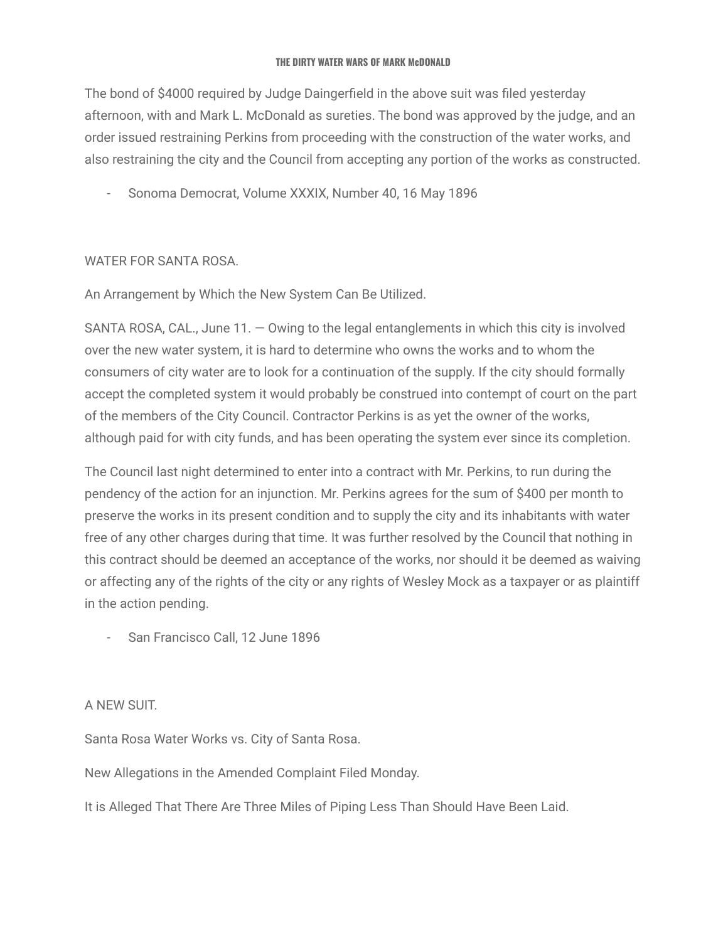The bond of \$4000 required by Judge Daingerfield in the above suit was filed yesterday afternoon, with and Mark L. McDonald as sureties. The bond was approved by the judge, and an order issued restraining Perkins from proceeding with the construction of the water works, and also restraining the city and the Council from accepting any portion of the works as constructed.

- Sonoma Democrat, Volume XXXIX, Number 40, 16 May 1896

### WATER FOR SANTA ROSA.

An Arrangement by Which the New System Can Be Utilized.

SANTA ROSA, CAL., June  $11. -$  Owing to the legal entanglements in which this city is involved over the new water system, it is hard to determine who owns the works and to whom the consumers of city water are to look for a continuation of the supply. If the city should formally accept the completed system it would probably be construed into contempt of court on the part of the members of the City Council. Contractor Perkins is as yet the owner of the works, although paid for with city funds, and has been operating the system ever since its completion.

The Council last night determined to enter into a contract with Mr. Perkins, to run during the pendency of the action for an injunction. Mr. Perkins agrees for the sum of \$400 per month to preserve the works in its present condition and to supply the city and its inhabitants with water free of any other charges during that time. It was further resolved by the Council that nothing in this contract should be deemed an acceptance of the works, nor should it be deemed as waiving or affecting any of the rights of the city or any rights of Wesley Mock as a taxpayer or as plaintiff in the action pending.

- San Francisco Call, 12 June 1896

### A NEW SUIT.

Santa Rosa Water Works vs. City of Santa Rosa.

New Allegations in the Amended Complaint Filed Monday.

It is Alleged That There Are Three Miles of Piping Less Than Should Have Been Laid.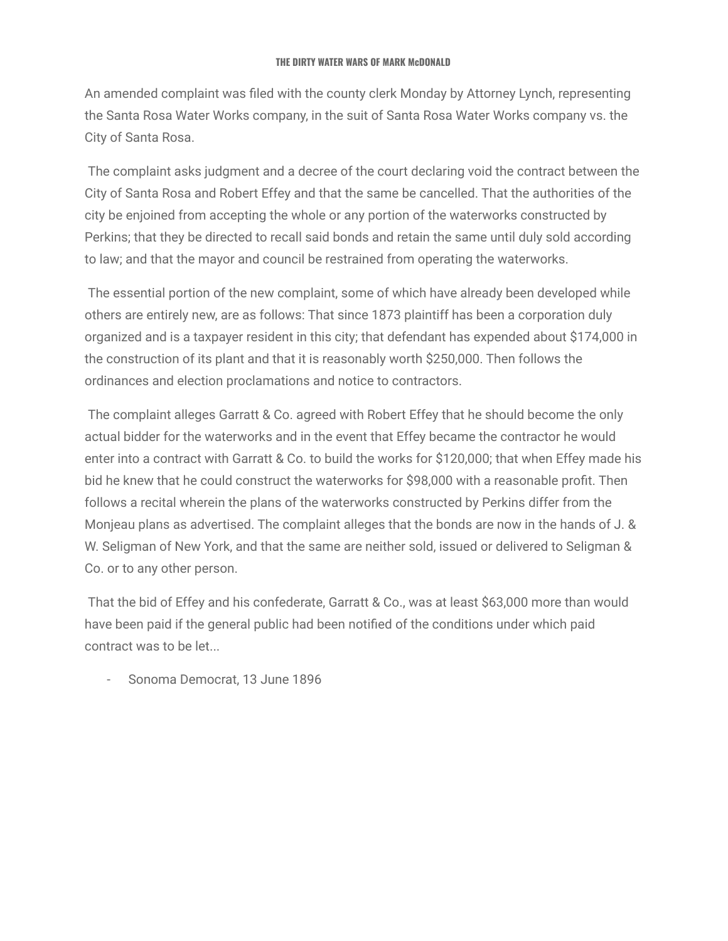An amended complaint was filed with the county clerk Monday by Attorney Lynch, representing the Santa Rosa Water Works company, in the suit of Santa Rosa Water Works company vs. the City of Santa Rosa.

The complaint asks judgment and a decree of the court declaring void the contract between the City of Santa Rosa and Robert Effey and that the same be cancelled. That the authorities of the city be enjoined from accepting the whole or any portion of the waterworks constructed by Perkins; that they be directed to recall said bonds and retain the same until duly sold according to law; and that the mayor and council be restrained from operating the waterworks.

The essential portion of the new complaint, some of which have already been developed while others are entirely new, are as follows: That since 1873 plaintiff has been a corporation duly organized and is a taxpayer resident in this city; that defendant has expended about \$174,000 in the construction of its plant and that it is reasonably worth \$250,000. Then follows the ordinances and election proclamations and notice to contractors.

The complaint alleges Garratt & Co. agreed with Robert Effey that he should become the only actual bidder for the waterworks and in the event that Effey became the contractor he would enter into a contract with Garratt & Co. to build the works for \$120,000; that when Effey made his bid he knew that he could construct the waterworks for \$98,000 with a reasonable profit. Then follows a recital wherein the plans of the waterworks constructed by Perkins differ from the Monjeau plans as advertised. The complaint alleges that the bonds are now in the hands of J. & W. Seligman of New York, and that the same are neither sold, issued or delivered to Seligman & Co. or to any other person.

That the bid of Effey and his confederate, Garratt & Co., was at least \$63,000 more than would have been paid if the general public had been notified of the conditions under which paid contract was to be let...

Sonoma Democrat, 13 June 1896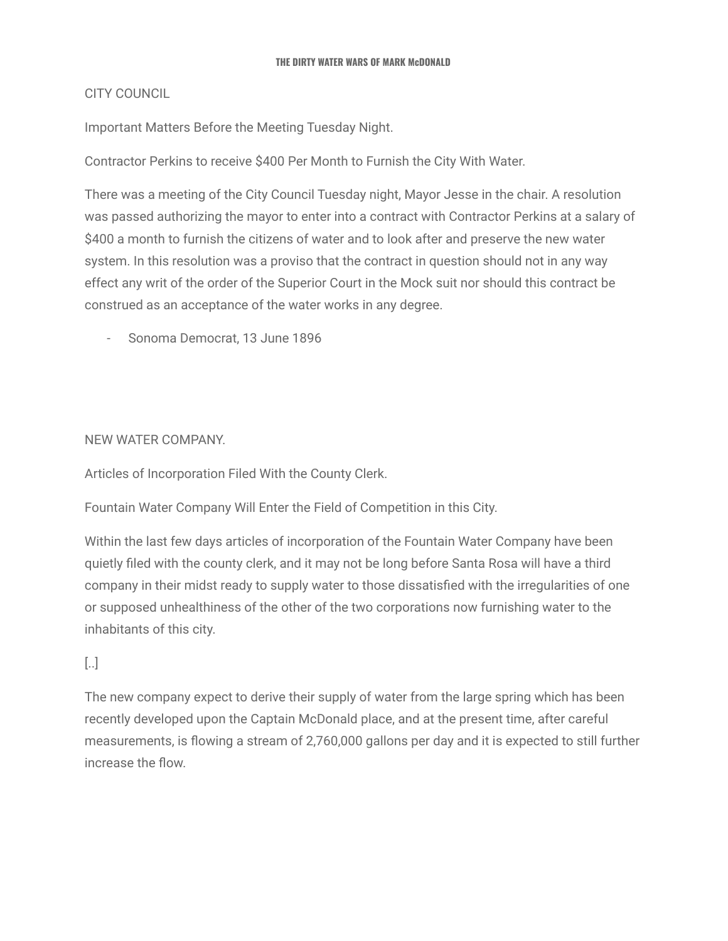### CITY COUNCIL

Important Matters Before the Meeting Tuesday Night.

Contractor Perkins to receive \$400 Per Month to Furnish the City With Water.

There was a meeting of the City Council Tuesday night, Mayor Jesse in the chair. A resolution was passed authorizing the mayor to enter into a contract with Contractor Perkins at a salary of \$400 a month to furnish the citizens of water and to look after and preserve the new water system. In this resolution was a proviso that the contract in question should not in any way effect any writ of the order of the Superior Court in the Mock suit nor should this contract be construed as an acceptance of the water works in any degree.

- Sonoma Democrat, 13 June 1896

### NEW WATER COMPANY.

Articles of Incorporation Filed With the County Clerk.

Fountain Water Company Will Enter the Field of Competition in this City.

Within the last few days articles of incorporation of the Fountain Water Company have been quietly filed with the county clerk, and it may not be long before Santa Rosa will have a third company in their midst ready to supply water to those dissatisfied with the irregularities of one or supposed unhealthiness of the other of the two corporations now furnishing water to the inhabitants of this city.

# [..]

The new company expect to derive their supply of water from the large spring which has been recently developed upon the Captain McDonald place, and at the present time, after careful measurements, is flowing a stream of 2,760,000 gallons per day and it is expected to still further increase the flow.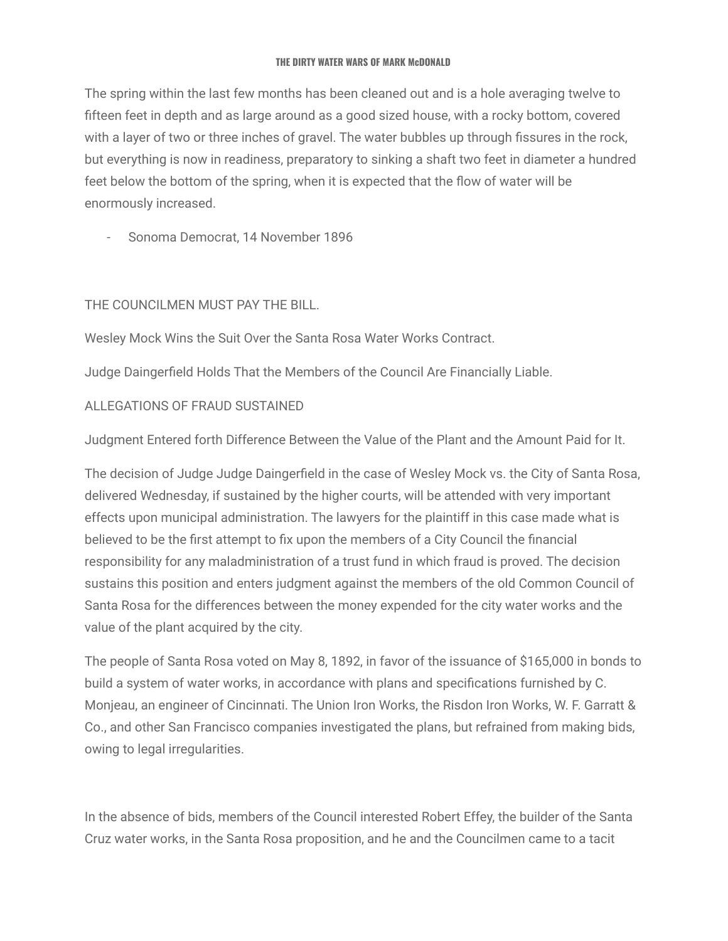The spring within the last few months has been cleaned out and is a hole averaging twelve to fifteen feet in depth and as large around as a good sized house, with a rocky bottom, covered with a layer of two or three inches of gravel. The water bubbles up through fissures in the rock, but everything is now in readiness, preparatory to sinking a shaft two feet in diameter a hundred feet below the bottom of the spring, when it is expected that the flow of water will be enormously increased.

- Sonoma Democrat, 14 November 1896

### THE COUNCILMEN MUST PAY THE BILL.

Wesley Mock Wins the Suit Over the Santa Rosa Water Works Contract.

Judge Daingerfield Holds That the Members of the Council Are Financially Liable.

# ALLEGATIONS OF FRAUD SUSTAINED

Judgment Entered forth Difference Between the Value of the Plant and the Amount Paid for It.

The decision of Judge Judge Daingerfield in the case of Wesley Mock vs. the City of Santa Rosa, delivered Wednesday, if sustained by the higher courts, will be attended with very important effects upon municipal administration. The lawyers for the plaintiff in this case made what is believed to be the first attempt to fix upon the members of a City Council the financial responsibility for any maladministration of a trust fund in which fraud is proved. The decision sustains this position and enters judgment against the members of the old Common Council of Santa Rosa for the differences between the money expended for the city water works and the value of the plant acquired by the city.

The people of Santa Rosa voted on May 8, 1892, in favor of the issuance of \$165,000 in bonds to build a system of water works, in accordance with plans and specifications furnished by C. Monjeau, an engineer of Cincinnati. The Union Iron Works, the Risdon Iron Works, W. F. Garratt & Co., and other San Francisco companies investigated the plans, but refrained from making bids, owing to legal irregularities.

In the absence of bids, members of the Council interested Robert Effey, the builder of the Santa Cruz water works, in the Santa Rosa proposition, and he and the Councilmen came to a tacit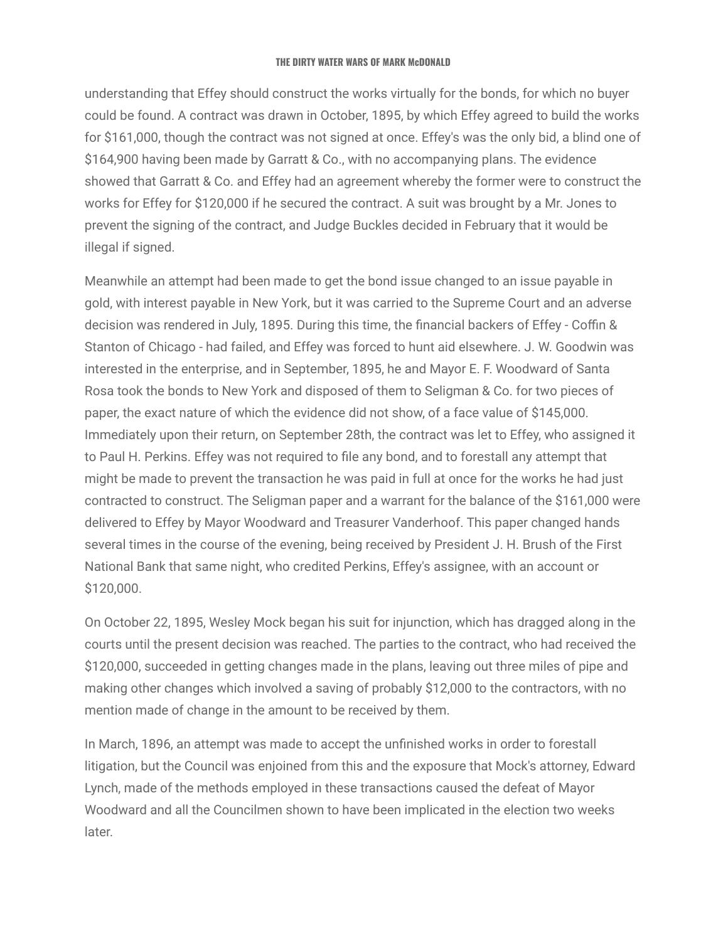understanding that Effey should construct the works virtually for the bonds, for which no buyer could be found. A contract was drawn in October, 1895, by which Effey agreed to build the works for \$161,000, though the contract was not signed at once. Effey's was the only bid, a blind one of \$164,900 having been made by Garratt & Co., with no accompanying plans. The evidence showed that Garratt & Co. and Effey had an agreement whereby the former were to construct the works for Effey for \$120,000 if he secured the contract. A suit was brought by a Mr. Jones to prevent the signing of the contract, and Judge Buckles decided in February that it would be illegal if signed.

Meanwhile an attempt had been made to get the bond issue changed to an issue payable in gold, with interest payable in New York, but it was carried to the Supreme Court and an adverse decision was rendered in July, 1895. During this time, the financial backers of Effey - Coffin & Stanton of Chicago - had failed, and Effey was forced to hunt aid elsewhere. J. W. Goodwin was interested in the enterprise, and in September, 1895, he and Mayor E. F. Woodward of Santa Rosa took the bonds to New York and disposed of them to Seligman & Co. for two pieces of paper, the exact nature of which the evidence did not show, of a face value of \$145,000. Immediately upon their return, on September 28th, the contract was let to Effey, who assigned it to Paul H. Perkins. Effey was not required to file any bond, and to forestall any attempt that might be made to prevent the transaction he was paid in full at once for the works he had just contracted to construct. The Seligman paper and a warrant for the balance of the \$161,000 were delivered to Effey by Mayor Woodward and Treasurer Vanderhoof. This paper changed hands several times in the course of the evening, being received by President J. H. Brush of the First National Bank that same night, who credited Perkins, Effey's assignee, with an account or \$120,000.

On October 22, 1895, Wesley Mock began his suit for injunction, which has dragged along in the courts until the present decision was reached. The parties to the contract, who had received the \$120,000, succeeded in getting changes made in the plans, leaving out three miles of pipe and making other changes which involved a saving of probably \$12,000 to the contractors, with no mention made of change in the amount to be received by them.

In March, 1896, an attempt was made to accept the unfinished works in order to forestall litigation, but the Council was enjoined from this and the exposure that Mock's attorney, Edward Lynch, made of the methods employed in these transactions caused the defeat of Mayor Woodward and all the Councilmen shown to have been implicated in the election two weeks later.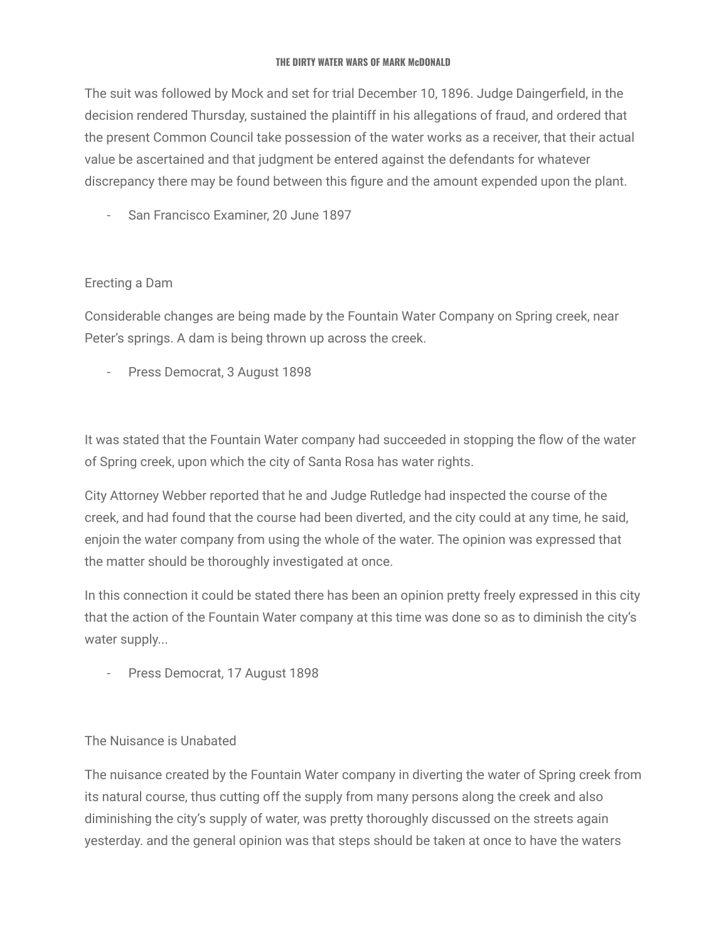The suit was followed by Mock and set for trial December 10, 1896. Judge Daingerfield, in the decision rendered Thursday, sustained the plaintiff in his allegations of fraud, and ordered that the present Common Council take possession of the water works as a receiver, that their actual value be ascertained and that judgment be entered against the defendants for whatever discrepancy there may be found between this figure and the amount expended upon the plant.

San Francisco Examiner, 20 June 1897

# Erecting a Dam

Considerable changes are being made by the Fountain Water Company on Spring creek, near Peter's springs. A dam is being thrown up across the creek.

- Press Democrat, 3 August 1898

It was stated that the Fountain Water company had succeeded in stopping the flow of the water of Spring creek, upon which the city of Santa Rosa has water rights.

City Attorney Webber reported that he and Judge Rutledge had inspected the course of the creek, and had found that the course had been diverted, and the city could at any time, he said, enjoin the water company from using the whole of the water. The opinion was expressed that the matter should be thoroughly investigated at once.

In this connection it could be stated there has been an opinion pretty freely expressed in this city that the action of the Fountain Water company at this time was done so as to diminish the city's water supply...

- Press Democrat, 17 August 1898

### The Nuisance is Unabated

The nuisance created by the Fountain Water company in diverting the water of Spring creek from its natural course, thus cutting off the supply from many persons along the creek and also diminishing the city's supply of water, was pretty thoroughly discussed on the streets again yesterday. and the general opinion was that steps should be taken at once to have the waters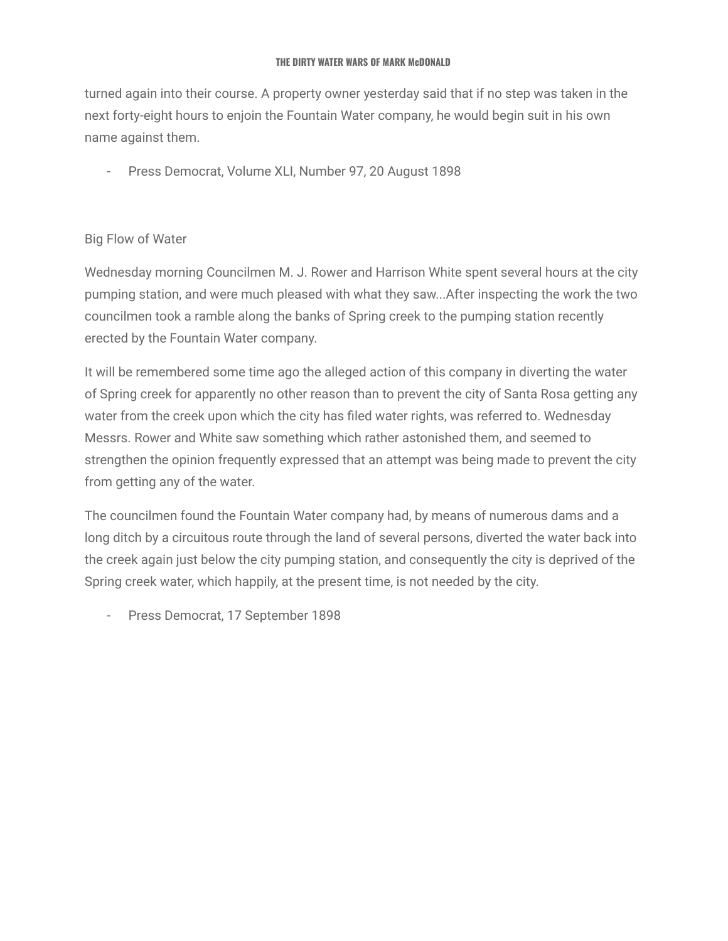turned again into their course. A property owner yesterday said that if no step was taken in the next forty-eight hours to enjoin the Fountain Water company, he would begin suit in his own name against them.

- Press Democrat, Volume XLI, Number 97, 20 August 1898

### Big Flow of Water

Wednesday morning Councilmen M. J. Rower and Harrison White spent several hours at the city pumping station, and were much pleased with what they saw...After inspecting the work the two councilmen took a ramble along the banks of Spring creek to the pumping station recently erected by the Fountain Water company.

It will be remembered some time ago the alleged action of this company in diverting the water of Spring creek for apparently no other reason than to prevent the city of Santa Rosa getting any water from the creek upon which the city has filed water rights, was referred to. Wednesday Messrs. Rower and White saw something which rather astonished them, and seemed to strengthen the opinion frequently expressed that an attempt was being made to prevent the city from getting any of the water.

The councilmen found the Fountain Water company had, by means of numerous dams and a long ditch by a circuitous route through the land of several persons, diverted the water back into the creek again just below the city pumping station, and consequently the city is deprived of the Spring creek water, which happily, at the present time, is not needed by the city.

- Press Democrat, 17 September 1898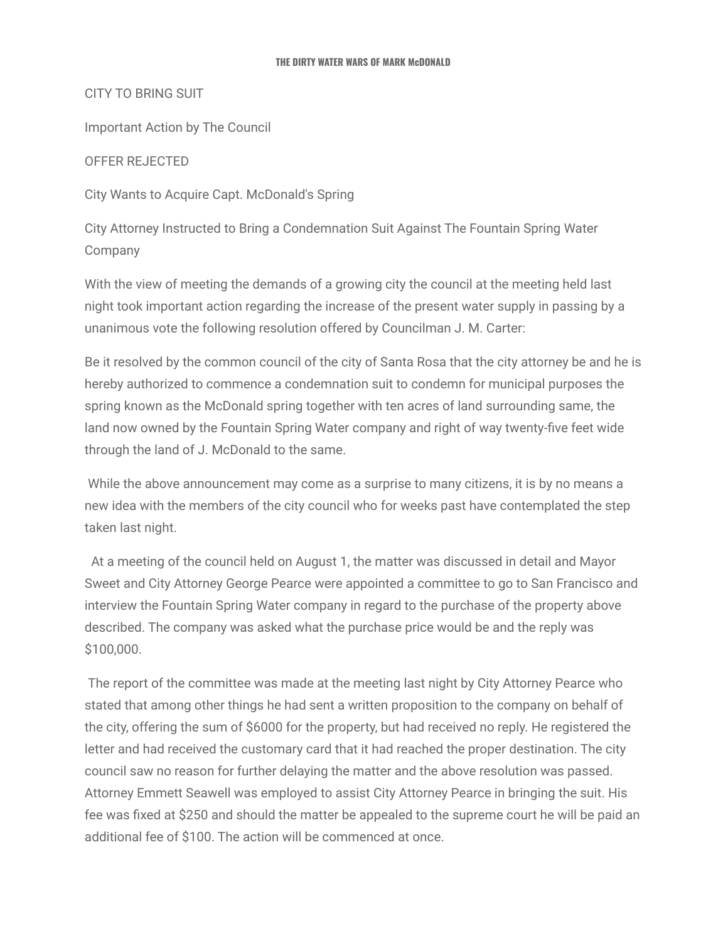CITY TO BRING SUIT

Important Action by The Council

OFFER REJECTED

City Wants to Acquire Capt. McDonald's Spring

City Attorney Instructed to Bring a Condemnation Suit Against The Fountain Spring Water Company

With the view of meeting the demands of a growing city the council at the meeting held last night took important action regarding the increase of the present water supply in passing by a unanimous vote the following resolution offered by Councilman J. M. Carter:

Be it resolved by the common council of the city of Santa Rosa that the city attorney be and he is hereby authorized to commence a condemnation suit to condemn for municipal purposes the spring known as the McDonald spring together with ten acres of land surrounding same, the land now owned by the Fountain Spring Water company and right of way twenty-five feet wide through the land of J. McDonald to the same.

While the above announcement may come as a surprise to many citizens, it is by no means a new idea with the members of the city council who for weeks past have contemplated the step taken last night.

At a meeting of the council held on August 1, the matter was discussed in detail and Mayor Sweet and City Attorney George Pearce were appointed a committee to go to San Francisco and interview the Fountain Spring Water company in regard to the purchase of the property above described. The company was asked what the purchase price would be and the reply was \$100,000.

The report of the committee was made at the meeting last night by City Attorney Pearce who stated that among other things he had sent a written proposition to the company on behalf of the city, offering the sum of \$6000 for the property, but had received no reply. He registered the letter and had received the customary card that it had reached the proper destination. The city council saw no reason for further delaying the matter and the above resolution was passed. Attorney Emmett Seawell was employed to assist City Attorney Pearce in bringing the suit. His fee was fixed at \$250 and should the matter be appealed to the supreme court he will be paid an additional fee of \$100. The action will be commenced at once.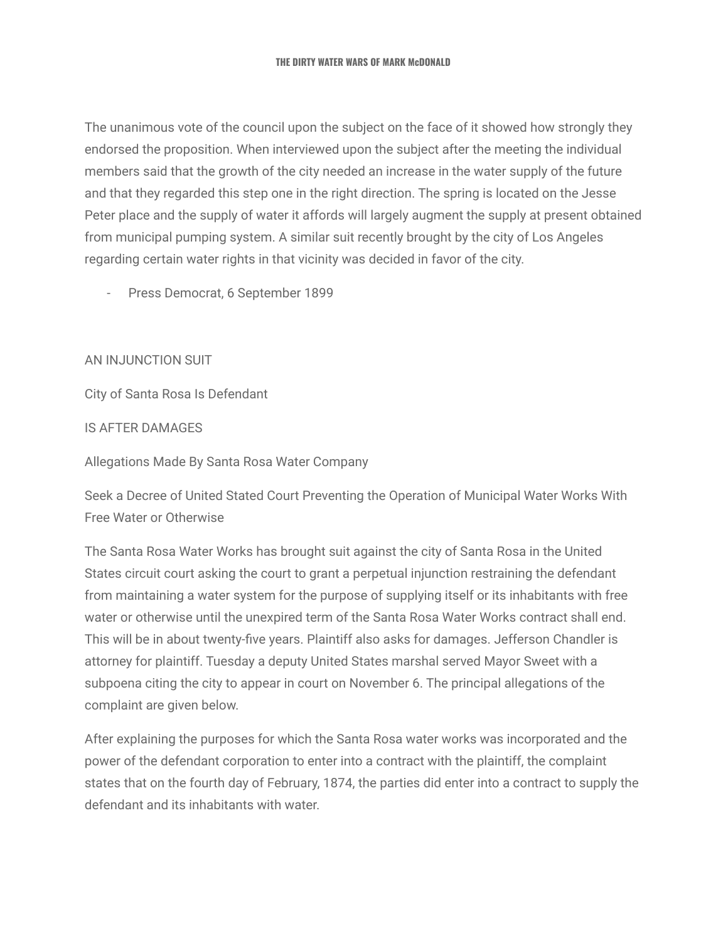The unanimous vote of the council upon the subject on the face of it showed how strongly they endorsed the proposition. When interviewed upon the subject after the meeting the individual members said that the growth of the city needed an increase in the water supply of the future and that they regarded this step one in the right direction. The spring is located on the Jesse Peter place and the supply of water it affords will largely augment the supply at present obtained from municipal pumping system. A similar suit recently brought by the city of Los Angeles regarding certain water rights in that vicinity was decided in favor of the city.

- Press Democrat, 6 September 1899

AN INJUNCTION SUIT

City of Santa Rosa Is Defendant

IS AFTER DAMAGES

Allegations Made By Santa Rosa Water Company

Seek a Decree of United Stated Court Preventing the Operation of Municipal Water Works With Free Water or Otherwise

The Santa Rosa Water Works has brought suit against the city of Santa Rosa in the United States circuit court asking the court to grant a perpetual injunction restraining the defendant from maintaining a water system for the purpose of supplying itself or its inhabitants with free water or otherwise until the unexpired term of the Santa Rosa Water Works contract shall end. This will be in about twenty-five years. Plaintiff also asks for damages. Jefferson Chandler is attorney for plaintiff. Tuesday a deputy United States marshal served Mayor Sweet with a subpoena citing the city to appear in court on November 6. The principal allegations of the complaint are given below.

After explaining the purposes for which the Santa Rosa water works was incorporated and the power of the defendant corporation to enter into a contract with the plaintiff, the complaint states that on the fourth day of February, 1874, the parties did enter into a contract to supply the defendant and its inhabitants with water.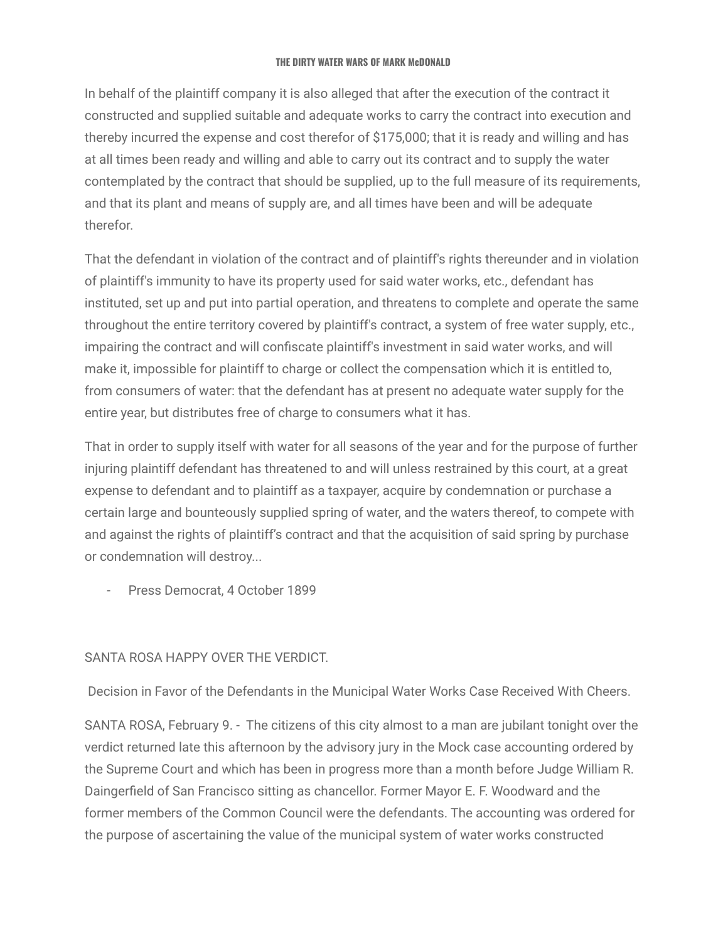In behalf of the plaintiff company it is also alleged that after the execution of the contract it constructed and supplied suitable and adequate works to carry the contract into execution and thereby incurred the expense and cost therefor of \$175,000; that it is ready and willing and has at all times been ready and willing and able to carry out its contract and to supply the water contemplated by the contract that should be supplied, up to the full measure of its requirements, and that its plant and means of supply are, and all times have been and will be adequate therefor.

That the defendant in violation of the contract and of plaintiff's rights thereunder and in violation of plaintiff's immunity to have its property used for said water works, etc., defendant has instituted, set up and put into partial operation, and threatens to complete and operate the same throughout the entire territory covered by plaintiff's contract, a system of free water supply, etc., impairing the contract and will confiscate plaintiff's investment in said water works, and will make it, impossible for plaintiff to charge or collect the compensation which it is entitled to, from consumers of water: that the defendant has at present no adequate water supply for the entire year, but distributes free of charge to consumers what it has.

That in order to supply itself with water for all seasons of the year and for the purpose of further injuring plaintiff defendant has threatened to and will unless restrained by this court, at a great expense to defendant and to plaintiff as a taxpayer, acquire by condemnation or purchase a certain large and bounteously supplied spring of water, and the waters thereof, to compete with and against the rights of plaintiff's contract and that the acquisition of said spring by purchase or condemnation will destroy...

- Press Democrat, 4 October 1899

### SANTA ROSA HAPPY OVER THE VERDICT.

Decision in Favor of the Defendants in the Municipal Water Works Case Received With Cheers.

SANTA ROSA, February 9. - The citizens of this city almost to a man are jubilant tonight over the verdict returned late this afternoon by the advisory jury in the Mock case accounting ordered by the Supreme Court and which has been in progress more than a month before Judge William R. Daingerfield of San Francisco sitting as chancellor. Former Mayor E. F. Woodward and the former members of the Common Council were the defendants. The accounting was ordered for the purpose of ascertaining the value of the municipal system of water works constructed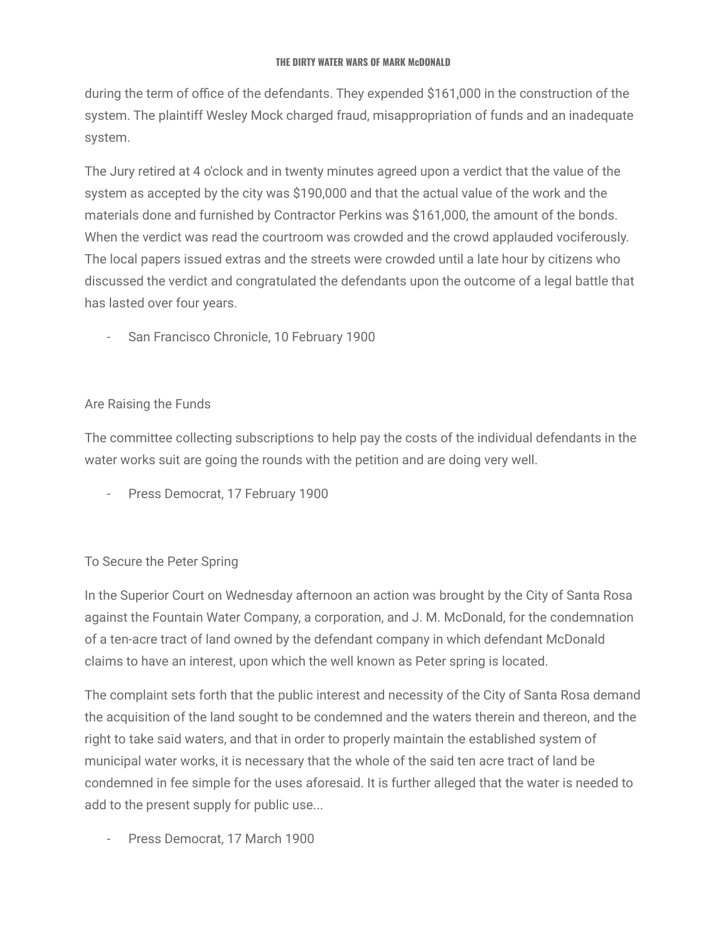during the term of office of the defendants. They expended \$161,000 in the construction of the system. The plaintiff Wesley Mock charged fraud, misappropriation of funds and an inadequate system.

The Jury retired at 4 o'clock and in twenty minutes agreed upon a verdict that the value of the system as accepted by the city was \$190,000 and that the actual value of the work and the materials done and furnished by Contractor Perkins was \$161,000, the amount of the bonds. When the verdict was read the courtroom was crowded and the crowd applauded vociferously. The local papers issued extras and the streets were crowded until a late hour by citizens who discussed the verdict and congratulated the defendants upon the outcome of a legal battle that has lasted over four years.

San Francisco Chronicle, 10 February 1900

# Are Raising the Funds

The committee collecting subscriptions to help pay the costs of the individual defendants in the water works suit are going the rounds with the petition and are doing very well.

- Press Democrat, 17 February 1900

# To Secure the Peter Spring

In the Superior Court on Wednesday afternoon an action was brought by the City of Santa Rosa against the Fountain Water Company, a corporation, and J. M. McDonald, for the condemnation of a ten-acre tract of land owned by the defendant company in which defendant McDonald claims to have an interest, upon which the well known as Peter spring is located.

The complaint sets forth that the public interest and necessity of the City of Santa Rosa demand the acquisition of the land sought to be condemned and the waters therein and thereon, and the right to take said waters, and that in order to properly maintain the established system of municipal water works, it is necessary that the whole of the said ten acre tract of land be condemned in fee simple for the uses aforesaid. It is further alleged that the water is needed to add to the present supply for public use...

Press Democrat, 17 March 1900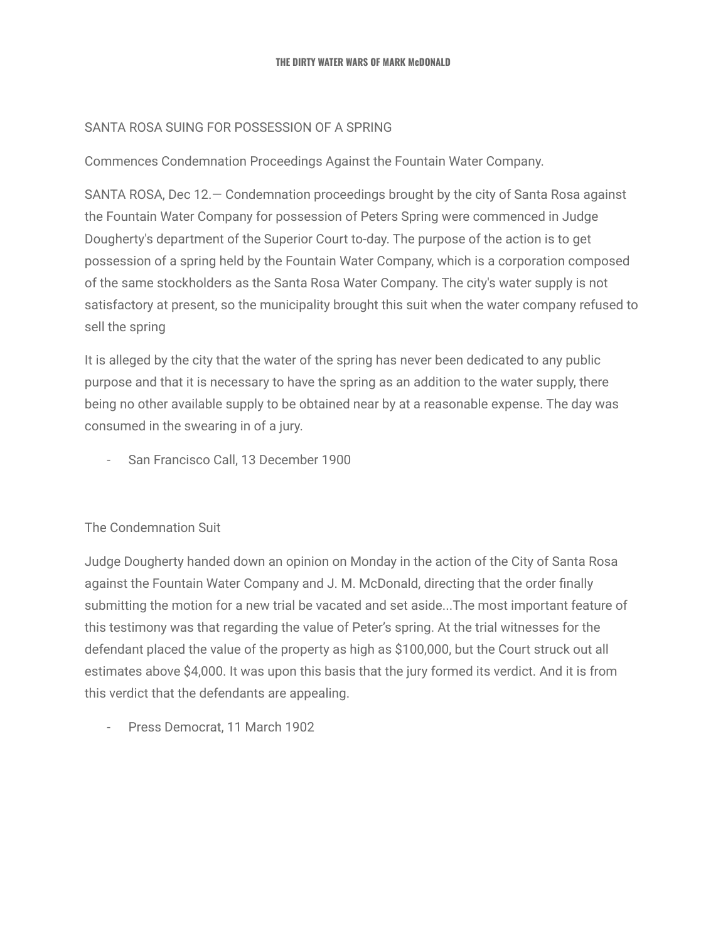### SANTA ROSA SUING FOR POSSESSION OF A SPRING

Commences Condemnation Proceedings Against the Fountain Water Company.

SANTA ROSA, Dec 12.— Condemnation proceedings brought by the city of Santa Rosa against the Fountain Water Company for possession of Peters Spring were commenced in Judge Dougherty's department of the Superior Court to-day. The purpose of the action is to get possession of a spring held by the Fountain Water Company, which is a corporation composed of the same stockholders as the Santa Rosa Water Company. The city's water supply is not satisfactory at present, so the municipality brought this suit when the water company refused to sell the spring

It is alleged by the city that the water of the spring has never been dedicated to any public purpose and that it is necessary to have the spring as an addition to the water supply, there being no other available supply to be obtained near by at a reasonable expense. The day was consumed in the swearing in of a jury.

- San Francisco Call, 13 December 1900

# The Condemnation Suit

Judge Dougherty handed down an opinion on Monday in the action of the City of Santa Rosa against the Fountain Water Company and J. M. McDonald, directing that the order finally submitting the motion for a new trial be vacated and set aside...The most important feature of this testimony was that regarding the value of Peter's spring. At the trial witnesses for the defendant placed the value of the property as high as \$100,000, but the Court struck out all estimates above \$4,000. It was upon this basis that the jury formed its verdict. And it is from this verdict that the defendants are appealing.

- Press Democrat, 11 March 1902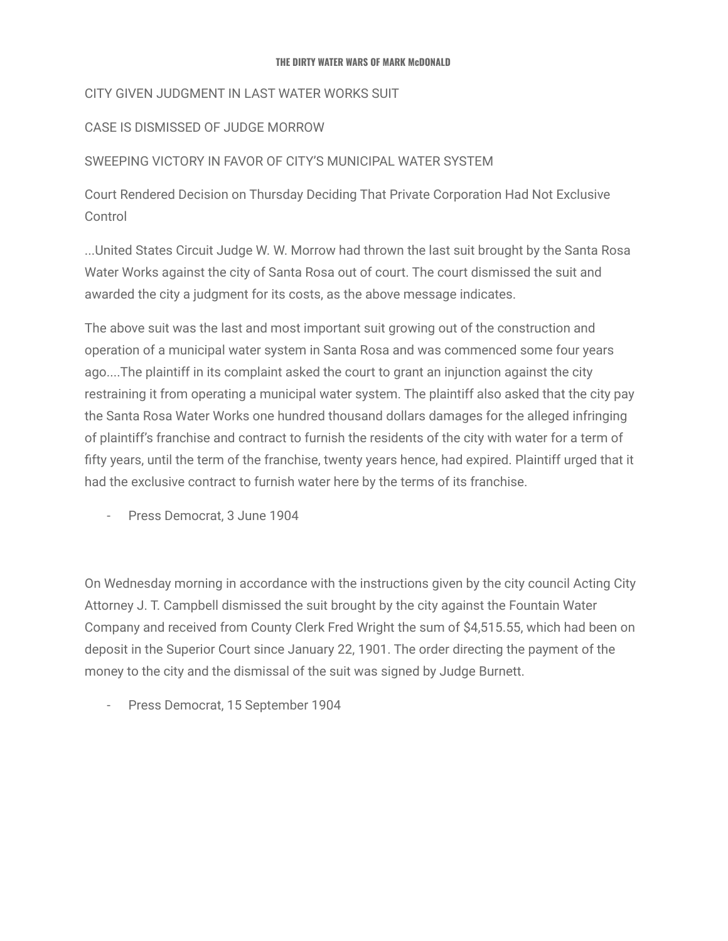# CITY GIVEN JUDGMENT IN LAST WATER WORKS SUIT

# CASE IS DISMISSED OF JUDGE MORROW

# SWEEPING VICTORY IN FAVOR OF CITY'S MUNICIPAL WATER SYSTEM

Court Rendered Decision on Thursday Deciding That Private Corporation Had Not Exclusive **Control** 

...United States Circuit Judge W. W. Morrow had thrown the last suit brought by the Santa Rosa Water Works against the city of Santa Rosa out of court. The court dismissed the suit and awarded the city a judgment for its costs, as the above message indicates.

The above suit was the last and most important suit growing out of the construction and operation of a municipal water system in Santa Rosa and was commenced some four years ago....The plaintiff in its complaint asked the court to grant an injunction against the city restraining it from operating a municipal water system. The plaintiff also asked that the city pay the Santa Rosa Water Works one hundred thousand dollars damages for the alleged infringing of plaintiff's franchise and contract to furnish the residents of the city with water for a term of fifty years, until the term of the franchise, twenty years hence, had expired. Plaintiff urged that it had the exclusive contract to furnish water here by the terms of its franchise.

- Press Democrat, 3 June 1904

On Wednesday morning in accordance with the instructions given by the city council Acting City Attorney J. T. Campbell dismissed the suit brought by the city against the Fountain Water Company and received from County Clerk Fred Wright the sum of \$4,515.55, which had been on deposit in the Superior Court since January 22, 1901. The order directing the payment of the money to the city and the dismissal of the suit was signed by Judge Burnett.

Press Democrat, 15 September 1904